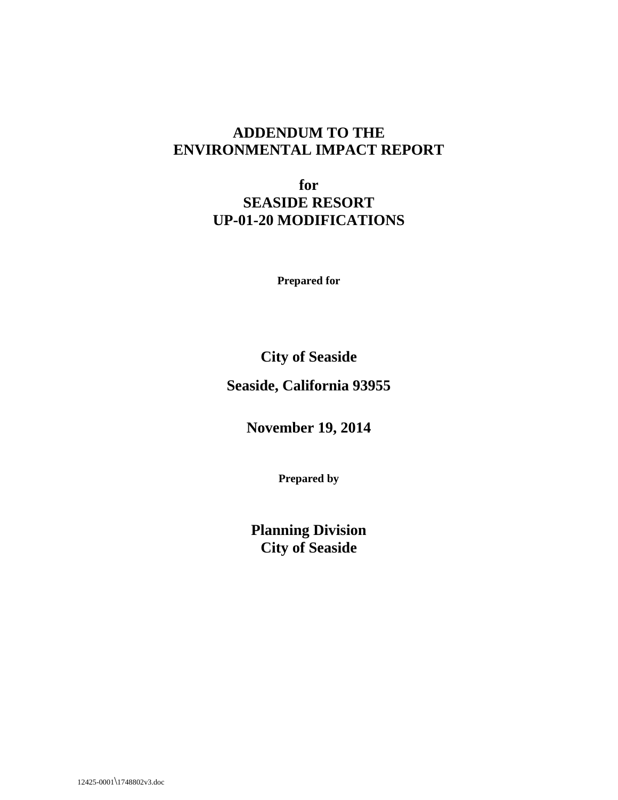# **ADDENDUM TO THE ENVIRONMENTAL IMPACT REPORT**

# **for SEASIDE RESORT UP-01-20 MODIFICATIONS**

**Prepared for** 

**City of Seaside** 

# **Seaside, California 93955**

**November 19, 2014** 

**Prepared by** 

**Planning Division City of Seaside**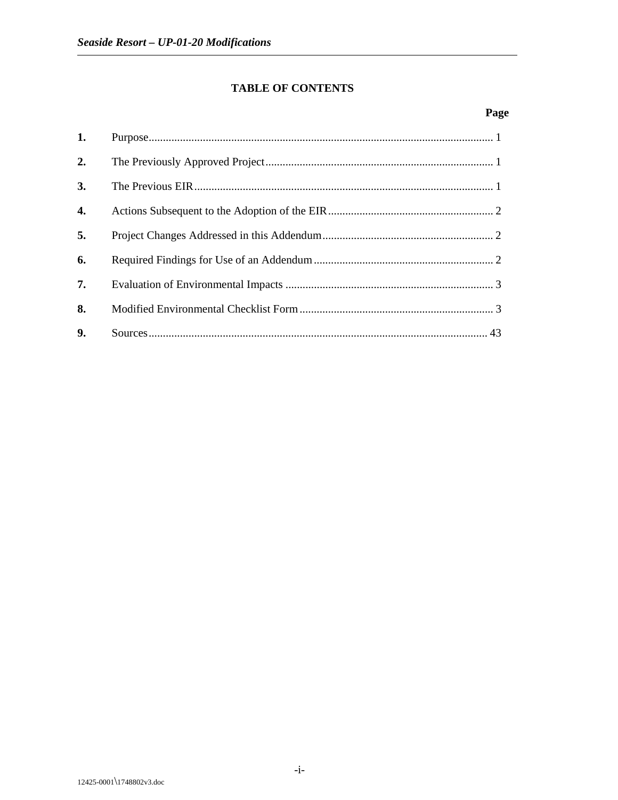### **TABLE OF CONTENTS**

### 1.  $2.$  $3.$  $\overline{4}$ . 5. 6. 7. 8.  $9<sub>r</sub>$

### Page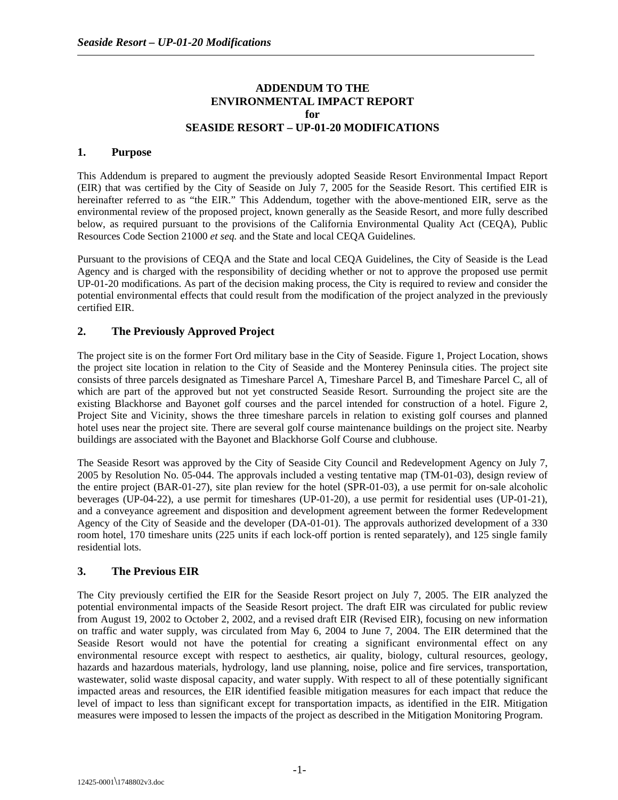## **ADDENDUM TO THE ENVIRONMENTAL IMPACT REPORT for SEASIDE RESORT – UP-01-20 MODIFICATIONS**

### **1. Purpose**

This Addendum is prepared to augment the previously adopted Seaside Resort Environmental Impact Report (EIR) that was certified by the City of Seaside on July 7, 2005 for the Seaside Resort. This certified EIR is hereinafter referred to as "the EIR." This Addendum, together with the above-mentioned EIR, serve as the environmental review of the proposed project, known generally as the Seaside Resort, and more fully described below, as required pursuant to the provisions of the California Environmental Quality Act (CEQA), Public Resources Code Section 21000 *et seq.* and the State and local CEQA Guidelines.

Pursuant to the provisions of CEQA and the State and local CEQA Guidelines, the City of Seaside is the Lead Agency and is charged with the responsibility of deciding whether or not to approve the proposed use permit UP-01-20 modifications. As part of the decision making process, the City is required to review and consider the potential environmental effects that could result from the modification of the project analyzed in the previously certified EIR.

### **2. The Previously Approved Project**

The project site is on the former Fort Ord military base in the City of Seaside. Figure 1, Project Location, shows the project site location in relation to the City of Seaside and the Monterey Peninsula cities. The project site consists of three parcels designated as Timeshare Parcel A, Timeshare Parcel B, and Timeshare Parcel C, all of which are part of the approved but not yet constructed Seaside Resort. Surrounding the project site are the existing Blackhorse and Bayonet golf courses and the parcel intended for construction of a hotel. Figure 2, Project Site and Vicinity, shows the three timeshare parcels in relation to existing golf courses and planned hotel uses near the project site. There are several golf course maintenance buildings on the project site. Nearby buildings are associated with the Bayonet and Blackhorse Golf Course and clubhouse.

The Seaside Resort was approved by the City of Seaside City Council and Redevelopment Agency on July 7, 2005 by Resolution No. 05-044. The approvals included a vesting tentative map (TM-01-03), design review of the entire project (BAR-01-27), site plan review for the hotel (SPR-01-03), a use permit for on-sale alcoholic beverages (UP-04-22), a use permit for timeshares (UP-01-20), a use permit for residential uses (UP-01-21), and a conveyance agreement and disposition and development agreement between the former Redevelopment Agency of the City of Seaside and the developer (DA-01-01). The approvals authorized development of a 330 room hotel, 170 timeshare units (225 units if each lock-off portion is rented separately), and 125 single family residential lots.

### **3. The Previous EIR**

The City previously certified the EIR for the Seaside Resort project on July 7, 2005. The EIR analyzed the potential environmental impacts of the Seaside Resort project. The draft EIR was circulated for public review from August 19, 2002 to October 2, 2002, and a revised draft EIR (Revised EIR), focusing on new information on traffic and water supply, was circulated from May 6, 2004 to June 7, 2004. The EIR determined that the Seaside Resort would not have the potential for creating a significant environmental effect on any environmental resource except with respect to aesthetics, air quality, biology, cultural resources, geology, hazards and hazardous materials, hydrology, land use planning, noise, police and fire services, transportation, wastewater, solid waste disposal capacity, and water supply. With respect to all of these potentially significant impacted areas and resources, the EIR identified feasible mitigation measures for each impact that reduce the level of impact to less than significant except for transportation impacts, as identified in the EIR. Mitigation measures were imposed to lessen the impacts of the project as described in the Mitigation Monitoring Program.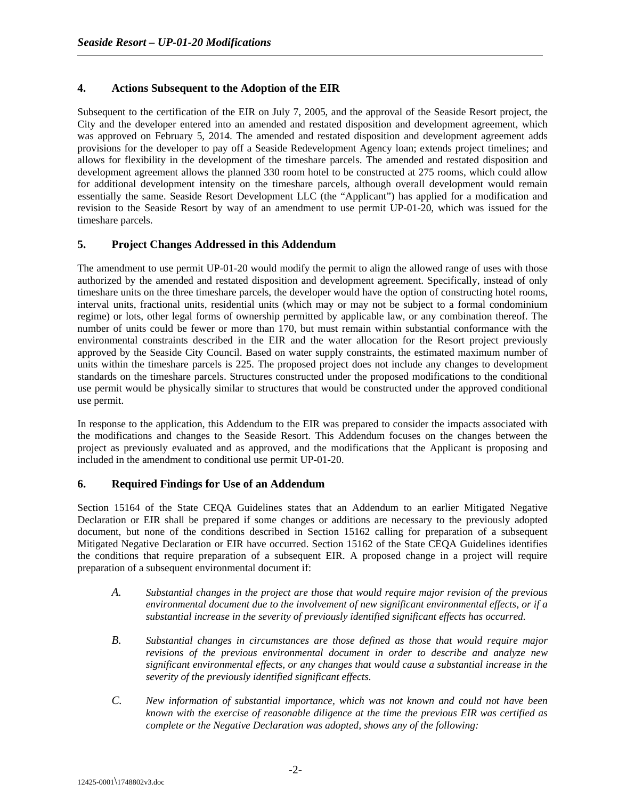### **4. Actions Subsequent to the Adoption of the EIR**

Subsequent to the certification of the EIR on July 7, 2005, and the approval of the Seaside Resort project, the City and the developer entered into an amended and restated disposition and development agreement, which was approved on February 5, 2014. The amended and restated disposition and development agreement adds provisions for the developer to pay off a Seaside Redevelopment Agency loan; extends project timelines; and allows for flexibility in the development of the timeshare parcels. The amended and restated disposition and development agreement allows the planned 330 room hotel to be constructed at 275 rooms, which could allow for additional development intensity on the timeshare parcels, although overall development would remain essentially the same. Seaside Resort Development LLC (the "Applicant") has applied for a modification and revision to the Seaside Resort by way of an amendment to use permit UP-01-20, which was issued for the timeshare parcels.

## **5. Project Changes Addressed in this Addendum**

The amendment to use permit UP-01-20 would modify the permit to align the allowed range of uses with those authorized by the amended and restated disposition and development agreement. Specifically, instead of only timeshare units on the three timeshare parcels, the developer would have the option of constructing hotel rooms, interval units, fractional units, residential units (which may or may not be subject to a formal condominium regime) or lots, other legal forms of ownership permitted by applicable law, or any combination thereof. The number of units could be fewer or more than 170, but must remain within substantial conformance with the environmental constraints described in the EIR and the water allocation for the Resort project previously approved by the Seaside City Council. Based on water supply constraints, the estimated maximum number of units within the timeshare parcels is 225. The proposed project does not include any changes to development standards on the timeshare parcels. Structures constructed under the proposed modifications to the conditional use permit would be physically similar to structures that would be constructed under the approved conditional use permit.

In response to the application, this Addendum to the EIR was prepared to consider the impacts associated with the modifications and changes to the Seaside Resort. This Addendum focuses on the changes between the project as previously evaluated and as approved, and the modifications that the Applicant is proposing and included in the amendment to conditional use permit UP-01-20.

### **6. Required Findings for Use of an Addendum**

Section 15164 of the State CEQA Guidelines states that an Addendum to an earlier Mitigated Negative Declaration or EIR shall be prepared if some changes or additions are necessary to the previously adopted document, but none of the conditions described in Section 15162 calling for preparation of a subsequent Mitigated Negative Declaration or EIR have occurred. Section 15162 of the State CEQA Guidelines identifies the conditions that require preparation of a subsequent EIR. A proposed change in a project will require preparation of a subsequent environmental document if:

- *A. Substantial changes in the project are those that would require major revision of the previous environmental document due to the involvement of new significant environmental effects, or if a substantial increase in the severity of previously identified significant effects has occurred.*
- *B. Substantial changes in circumstances are those defined as those that would require major revisions of the previous environmental document in order to describe and analyze new significant environmental effects, or any changes that would cause a substantial increase in the severity of the previously identified significant effects.*
- *C. New information of substantial importance, which was not known and could not have been known with the exercise of reasonable diligence at the time the previous EIR was certified as complete or the Negative Declaration was adopted, shows any of the following:*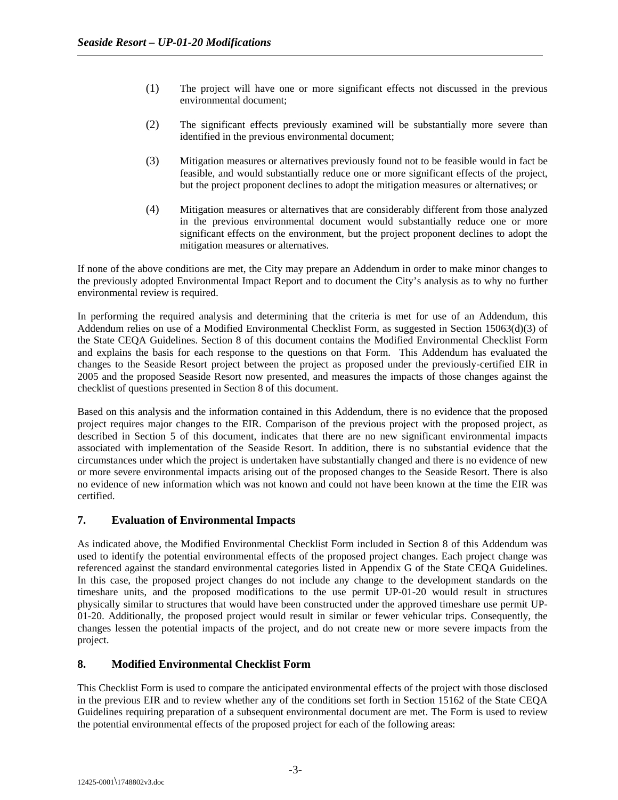- (1) The project will have one or more significant effects not discussed in the previous environmental document;
- (2) The significant effects previously examined will be substantially more severe than identified in the previous environmental document;
- (3) Mitigation measures or alternatives previously found not to be feasible would in fact be feasible, and would substantially reduce one or more significant effects of the project, but the project proponent declines to adopt the mitigation measures or alternatives; or
- (4) Mitigation measures or alternatives that are considerably different from those analyzed in the previous environmental document would substantially reduce one or more significant effects on the environment, but the project proponent declines to adopt the mitigation measures or alternatives.

If none of the above conditions are met, the City may prepare an Addendum in order to make minor changes to the previously adopted Environmental Impact Report and to document the City's analysis as to why no further environmental review is required.

In performing the required analysis and determining that the criteria is met for use of an Addendum, this Addendum relies on use of a Modified Environmental Checklist Form, as suggested in Section 15063(d)(3) of the State CEQA Guidelines. Section 8 of this document contains the Modified Environmental Checklist Form and explains the basis for each response to the questions on that Form. This Addendum has evaluated the changes to the Seaside Resort project between the project as proposed under the previously-certified EIR in 2005 and the proposed Seaside Resort now presented, and measures the impacts of those changes against the checklist of questions presented in Section 8 of this document.

Based on this analysis and the information contained in this Addendum, there is no evidence that the proposed project requires major changes to the EIR. Comparison of the previous project with the proposed project, as described in Section 5 of this document, indicates that there are no new significant environmental impacts associated with implementation of the Seaside Resort. In addition, there is no substantial evidence that the circumstances under which the project is undertaken have substantially changed and there is no evidence of new or more severe environmental impacts arising out of the proposed changes to the Seaside Resort. There is also no evidence of new information which was not known and could not have been known at the time the EIR was certified.

### **7. Evaluation of Environmental Impacts**

As indicated above, the Modified Environmental Checklist Form included in Section 8 of this Addendum was used to identify the potential environmental effects of the proposed project changes. Each project change was referenced against the standard environmental categories listed in Appendix G of the State CEQA Guidelines. In this case, the proposed project changes do not include any change to the development standards on the timeshare units, and the proposed modifications to the use permit UP-01-20 would result in structures physically similar to structures that would have been constructed under the approved timeshare use permit UP-01-20. Additionally, the proposed project would result in similar or fewer vehicular trips. Consequently, the changes lessen the potential impacts of the project, and do not create new or more severe impacts from the project.

### **8. Modified Environmental Checklist Form**

This Checklist Form is used to compare the anticipated environmental effects of the project with those disclosed in the previous EIR and to review whether any of the conditions set forth in Section 15162 of the State CEQA Guidelines requiring preparation of a subsequent environmental document are met. The Form is used to review the potential environmental effects of the proposed project for each of the following areas: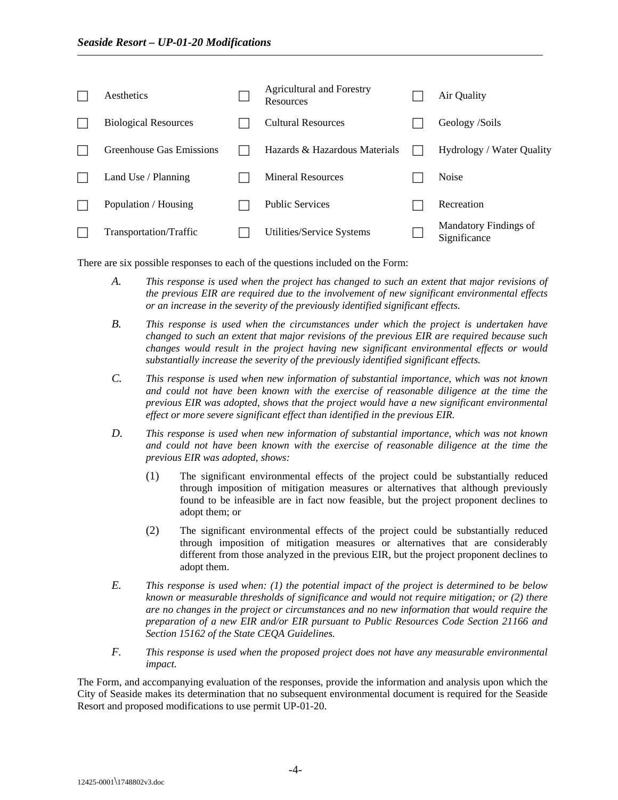| Aesthetics                      | <b>Agricultural and Forestry</b><br>Resources | Air Quality                           |
|---------------------------------|-----------------------------------------------|---------------------------------------|
| <b>Biological Resources</b>     | <b>Cultural Resources</b>                     | Geology /Soils                        |
| <b>Greenhouse Gas Emissions</b> | Hazards & Hazardous Materials                 | Hydrology / Water Quality             |
| Land Use / Planning             | <b>Mineral Resources</b>                      | <b>Noise</b>                          |
| Population / Housing            | <b>Public Services</b>                        | Recreation                            |
| Transportation/Traffic          | Utilities/Service Systems                     | Mandatory Findings of<br>Significance |

There are six possible responses to each of the questions included on the Form:

- *A. This response is used when the project has changed to such an extent that major revisions of the previous EIR are required due to the involvement of new significant environmental effects or an increase in the severity of the previously identified significant effects.*
- *B. This response is used when the circumstances under which the project is undertaken have changed to such an extent that major revisions of the previous EIR are required because such changes would result in the project having new significant environmental effects or would substantially increase the severity of the previously identified significant effects.*
- *C. This response is used when new information of substantial importance, which was not known and could not have been known with the exercise of reasonable diligence at the time the previous EIR was adopted, shows that the project would have a new significant environmental effect or more severe significant effect than identified in the previous EIR.*
- *D. This response is used when new information of substantial importance, which was not known and could not have been known with the exercise of reasonable diligence at the time the previous EIR was adopted, shows:* 
	- (1) The significant environmental effects of the project could be substantially reduced through imposition of mitigation measures or alternatives that although previously found to be infeasible are in fact now feasible, but the project proponent declines to adopt them; or
	- (2) The significant environmental effects of the project could be substantially reduced through imposition of mitigation measures or alternatives that are considerably different from those analyzed in the previous EIR, but the project proponent declines to adopt them.
- *E. This response is used when: (1) the potential impact of the project is determined to be below known or measurable thresholds of significance and would not require mitigation; or (2) there are no changes in the project or circumstances and no new information that would require the preparation of a new EIR and/or EIR pursuant to Public Resources Code Section 21166 and Section 15162 of the State CEQA Guidelines.*
- *F. This response is used when the proposed project does not have any measurable environmental impact.*

The Form, and accompanying evaluation of the responses, provide the information and analysis upon which the City of Seaside makes its determination that no subsequent environmental document is required for the Seaside Resort and proposed modifications to use permit UP-01-20.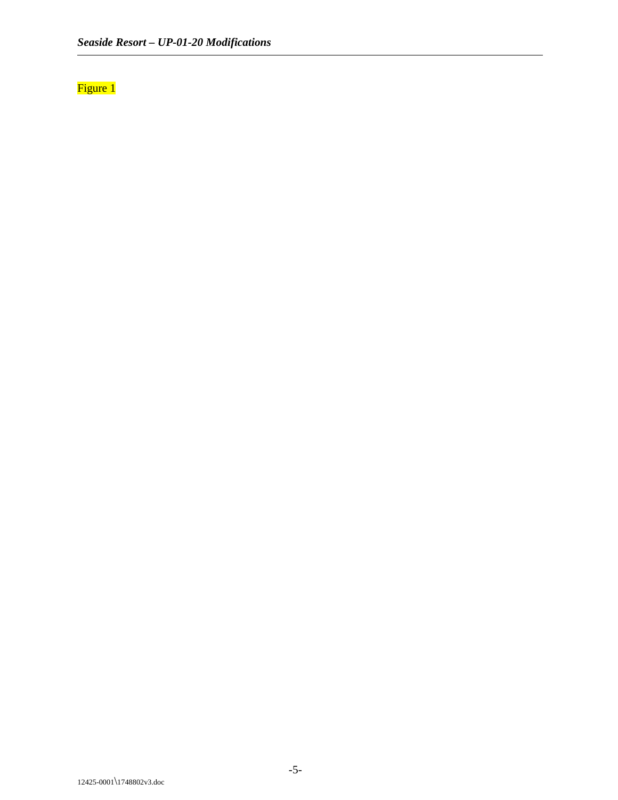Figure 1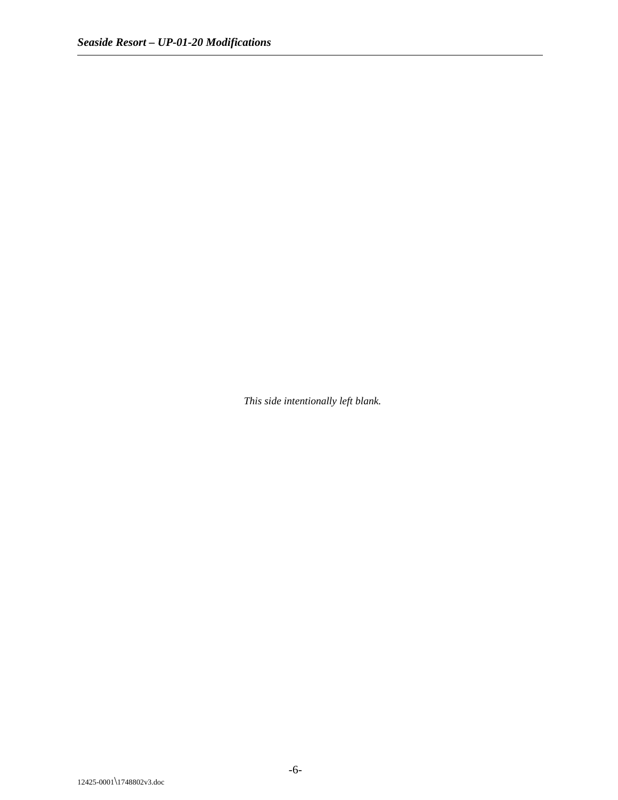*This side intentionally left blank.*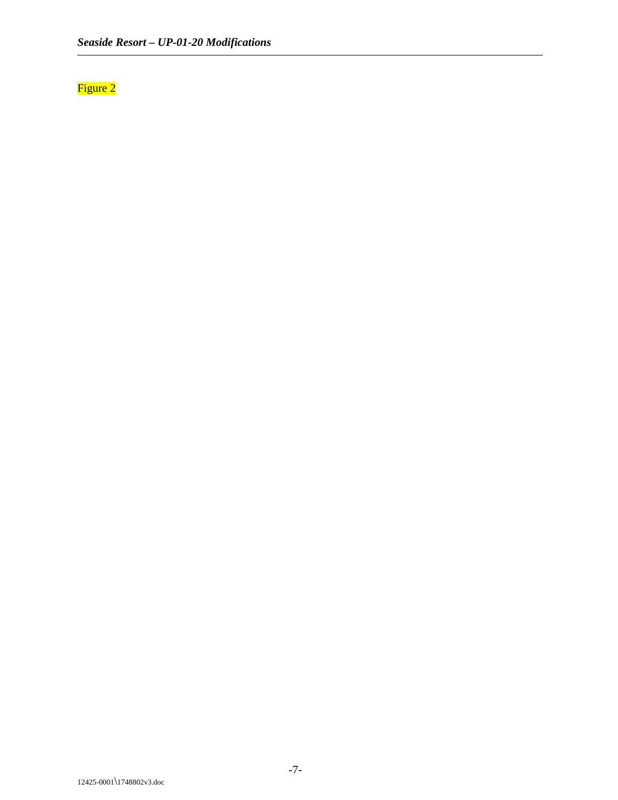Figure 2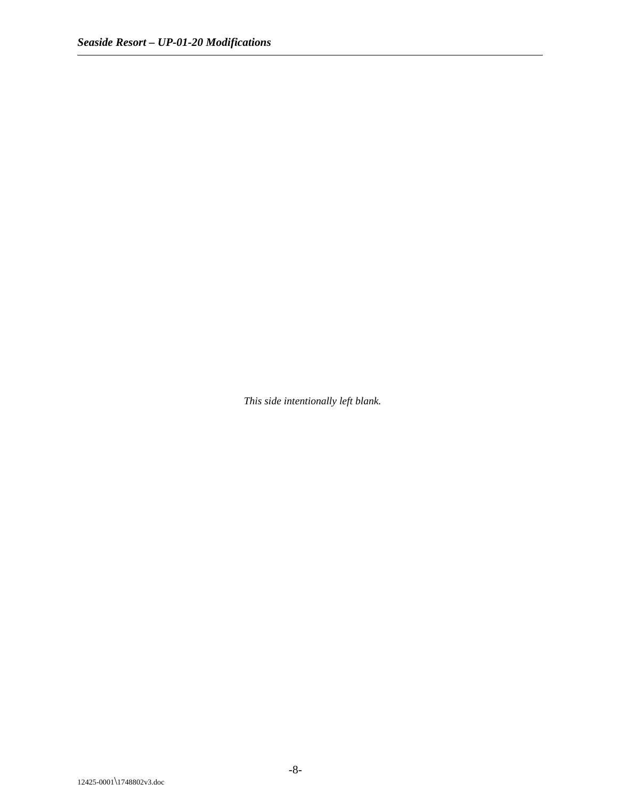*This side intentionally left blank.*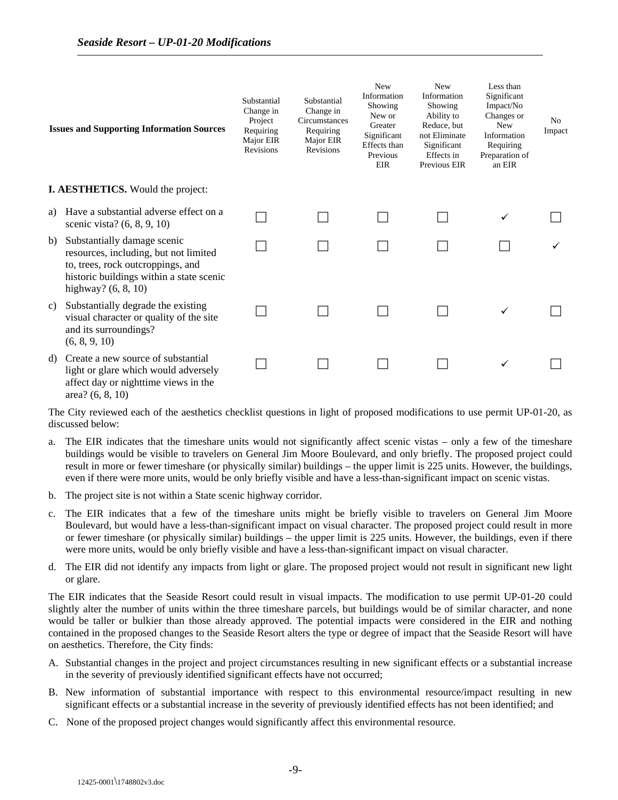|                                   | <b>Issues and Supporting Information Sources</b>                                                                                                                               | Substantial<br>Change in<br>Project<br>Requiring<br>Major EIR<br><b>Revisions</b> | Substantial<br>Change in<br>Circumstances<br>Requiring<br>Major EIR<br>Revisions | New<br>Information<br>Showing<br>New or<br>Greater<br>Significant<br>Effects than<br>Previous<br>EIR | New<br>Information<br>Showing<br>Ability to<br>Reduce, but<br>not Eliminate<br>Significant<br>Effects in<br>Previous EIR | Less than<br>Significant<br>Impact/No<br>Changes or<br><b>New</b><br>Information<br>Requiring<br>Preparation of<br>an EIR | No<br>Impact |
|-----------------------------------|--------------------------------------------------------------------------------------------------------------------------------------------------------------------------------|-----------------------------------------------------------------------------------|----------------------------------------------------------------------------------|------------------------------------------------------------------------------------------------------|--------------------------------------------------------------------------------------------------------------------------|---------------------------------------------------------------------------------------------------------------------------|--------------|
| I. AESTHETICS. Would the project: |                                                                                                                                                                                |                                                                                   |                                                                                  |                                                                                                      |                                                                                                                          |                                                                                                                           |              |
| a)                                | Have a substantial adverse effect on a<br>scenic vista? (6, 8, 9, 10)                                                                                                          |                                                                                   |                                                                                  |                                                                                                      |                                                                                                                          | ✓                                                                                                                         |              |
| b)                                | Substantially damage scenic<br>resources, including, but not limited<br>to, trees, rock outcroppings, and<br>historic buildings within a state scenic<br>highway? $(6, 8, 10)$ |                                                                                   |                                                                                  |                                                                                                      |                                                                                                                          |                                                                                                                           |              |
| C)                                | Substantially degrade the existing<br>visual character or quality of the site<br>and its surroundings?<br>(6, 8, 9, 10)                                                        |                                                                                   |                                                                                  |                                                                                                      |                                                                                                                          | ✓                                                                                                                         |              |
| d)                                | Create a new source of substantial<br>light or glare which would adversely<br>affect day or nighttime views in the<br>area? $(6, 8, 10)$                                       |                                                                                   |                                                                                  |                                                                                                      |                                                                                                                          | ✓                                                                                                                         |              |

The City reviewed each of the aesthetics checklist questions in light of proposed modifications to use permit UP-01-20, as discussed below:

- a. The EIR indicates that the timeshare units would not significantly affect scenic vistas only a few of the timeshare buildings would be visible to travelers on General Jim Moore Boulevard, and only briefly. The proposed project could result in more or fewer timeshare (or physically similar) buildings – the upper limit is 225 units. However, the buildings, even if there were more units, would be only briefly visible and have a less-than-significant impact on scenic vistas.
- b. The project site is not within a State scenic highway corridor.
- c. The EIR indicates that a few of the timeshare units might be briefly visible to travelers on General Jim Moore Boulevard, but would have a less-than-significant impact on visual character. The proposed project could result in more or fewer timeshare (or physically similar) buildings – the upper limit is 225 units. However, the buildings, even if there were more units, would be only briefly visible and have a less-than-significant impact on visual character.
- d. The EIR did not identify any impacts from light or glare. The proposed project would not result in significant new light or glare.

The EIR indicates that the Seaside Resort could result in visual impacts. The modification to use permit UP-01-20 could slightly alter the number of units within the three timeshare parcels, but buildings would be of similar character, and none would be taller or bulkier than those already approved. The potential impacts were considered in the EIR and nothing contained in the proposed changes to the Seaside Resort alters the type or degree of impact that the Seaside Resort will have on aesthetics. Therefore, the City finds:

- A. Substantial changes in the project and project circumstances resulting in new significant effects or a substantial increase in the severity of previously identified significant effects have not occurred;
- B. New information of substantial importance with respect to this environmental resource/impact resulting in new significant effects or a substantial increase in the severity of previously identified effects has not been identified; and
- C. None of the proposed project changes would significantly affect this environmental resource.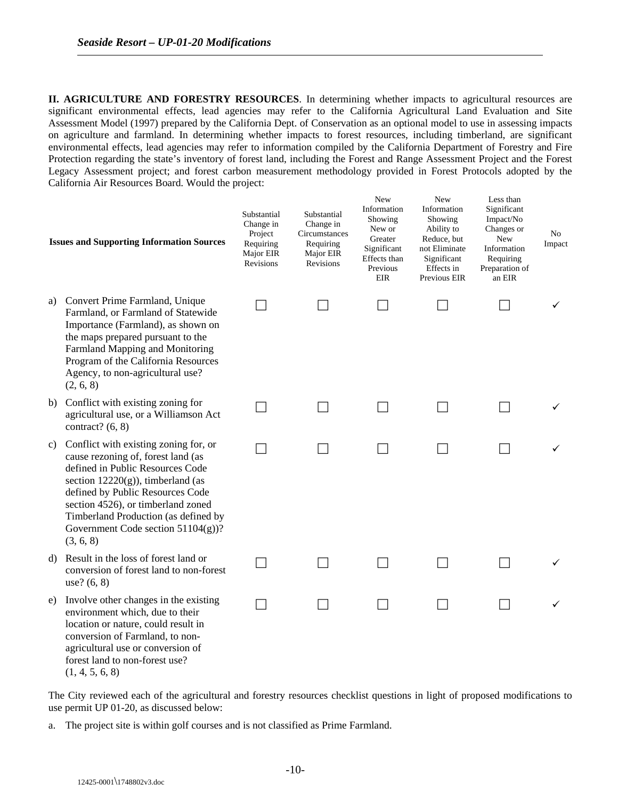**II. AGRICULTURE AND FORESTRY RESOURCES**. In determining whether impacts to agricultural resources are significant environmental effects, lead agencies may refer to the California Agricultural Land Evaluation and Site Assessment Model (1997) prepared by the California Dept. of Conservation as an optional model to use in assessing impacts on agriculture and farmland. In determining whether impacts to forest resources, including timberland, are significant environmental effects, lead agencies may refer to information compiled by the California Department of Forestry and Fire Protection regarding the state's inventory of forest land, including the Forest and Range Assessment Project and the Forest Legacy Assessment project; and forest carbon measurement methodology provided in Forest Protocols adopted by the California Air Resources Board. Would the project:

|    | <b>Issues and Supporting Information Sources</b>                                                                                                                                                                                                                                                                              | Substantial<br>Change in<br>Project<br>Requiring<br>Major EIR<br>Revisions | Substantial<br>Change in<br>Circumstances<br>Requiring<br>Major EIR<br><b>Revisions</b> | New<br>Information<br>Showing<br>New or<br>Greater<br>Significant<br>Effects than<br>Previous<br><b>EIR</b> | New<br>Information<br>Showing<br>Ability to<br>Reduce, but<br>not Eliminate<br>Significant<br>Effects in<br>Previous EIR | Less than<br>Significant<br>Impact/No<br>Changes or<br>New<br>Information<br>Requiring<br>Preparation of<br>an EIR | No.<br>Impact |
|----|-------------------------------------------------------------------------------------------------------------------------------------------------------------------------------------------------------------------------------------------------------------------------------------------------------------------------------|----------------------------------------------------------------------------|-----------------------------------------------------------------------------------------|-------------------------------------------------------------------------------------------------------------|--------------------------------------------------------------------------------------------------------------------------|--------------------------------------------------------------------------------------------------------------------|---------------|
| a) | Convert Prime Farmland, Unique<br>Farmland, or Farmland of Statewide<br>Importance (Farmland), as shown on<br>the maps prepared pursuant to the<br>Farmland Mapping and Monitoring<br>Program of the California Resources<br>Agency, to non-agricultural use?<br>(2, 6, 8)                                                    |                                                                            |                                                                                         |                                                                                                             |                                                                                                                          |                                                                                                                    | ✓             |
| b) | Conflict with existing zoning for<br>agricultural use, or a Williamson Act<br>contract? $(6, 8)$                                                                                                                                                                                                                              |                                                                            |                                                                                         |                                                                                                             |                                                                                                                          |                                                                                                                    |               |
| C) | Conflict with existing zoning for, or<br>cause rezoning of, forest land (as<br>defined in Public Resources Code<br>section $12220(g)$ , timberland (as<br>defined by Public Resources Code<br>section 4526), or timberland zoned<br>Timberland Production (as defined by<br>Government Code section $51104(g)$ ?<br>(3, 6, 8) |                                                                            |                                                                                         |                                                                                                             |                                                                                                                          |                                                                                                                    |               |
| d) | Result in the loss of forest land or<br>conversion of forest land to non-forest<br>use? $(6, 8)$                                                                                                                                                                                                                              |                                                                            |                                                                                         |                                                                                                             |                                                                                                                          |                                                                                                                    |               |
| e) | Involve other changes in the existing<br>environment which, due to their<br>location or nature, could result in<br>conversion of Farmland, to non-<br>agricultural use or conversion of<br>forest land to non-forest use?<br>(1, 4, 5, 6, 8)                                                                                  |                                                                            |                                                                                         |                                                                                                             |                                                                                                                          |                                                                                                                    |               |

The City reviewed each of the agricultural and forestry resources checklist questions in light of proposed modifications to use permit UP 01-20, as discussed below:

a. The project site is within golf courses and is not classified as Prime Farmland.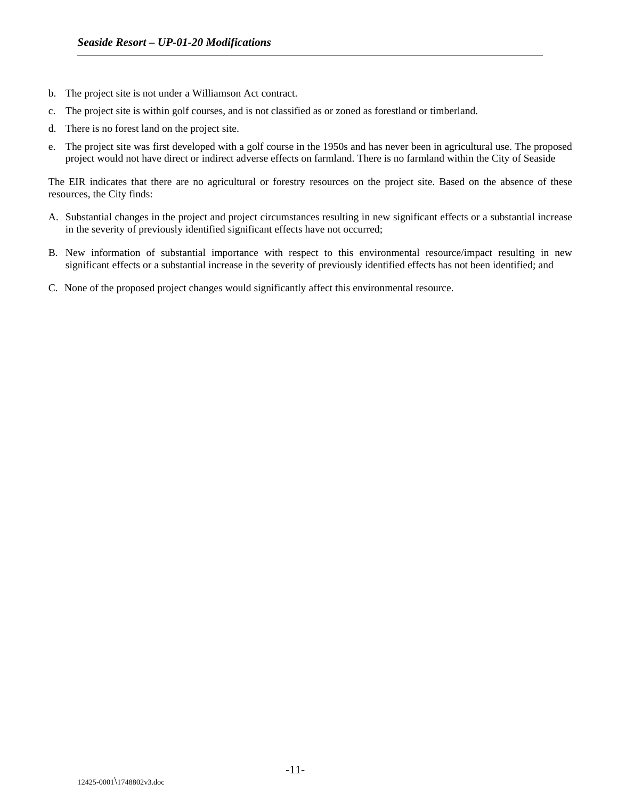- b. The project site is not under a Williamson Act contract.
- c. The project site is within golf courses, and is not classified as or zoned as forestland or timberland.
- d. There is no forest land on the project site.
- e. The project site was first developed with a golf course in the 1950s and has never been in agricultural use. The proposed project would not have direct or indirect adverse effects on farmland. There is no farmland within the City of Seaside

The EIR indicates that there are no agricultural or forestry resources on the project site. Based on the absence of these resources, the City finds:

- A. Substantial changes in the project and project circumstances resulting in new significant effects or a substantial increase in the severity of previously identified significant effects have not occurred;
- B. New information of substantial importance with respect to this environmental resource/impact resulting in new significant effects or a substantial increase in the severity of previously identified effects has not been identified; and
- C. None of the proposed project changes would significantly affect this environmental resource.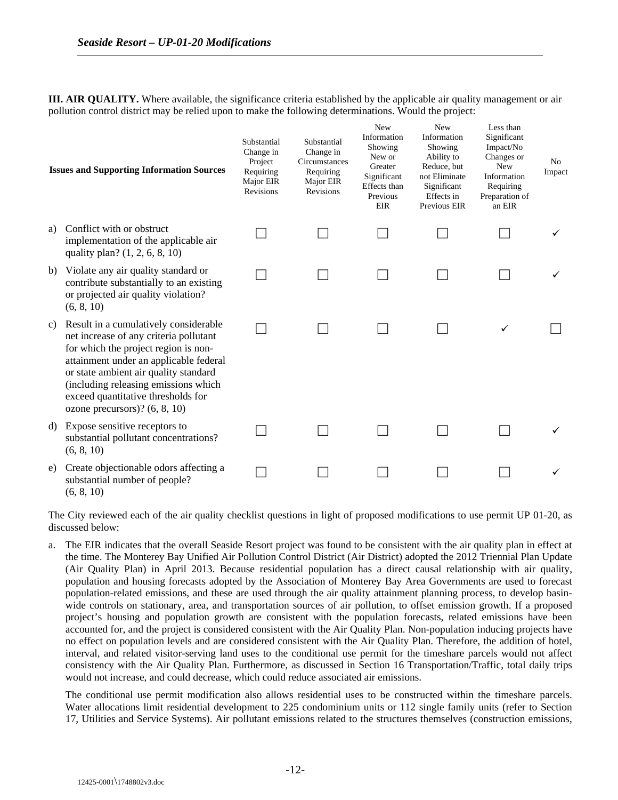**III. AIR QUALITY.** Where available, the significance criteria established by the applicable air quality management or air pollution control district may be relied upon to make the following determinations. Would the project:

|    | <b>Issues and Supporting Information Sources</b>                                                                                                                                                                                                                                                                            | Substantial<br>Change in<br>Project<br>Requiring<br>Major EIR<br>Revisions | Substantial<br>Change in<br>Circumstances<br>Requiring<br>Major EIR<br><b>Revisions</b> | New<br>Information<br>Showing<br>New or<br>Greater<br>Significant<br>Effects than<br>Previous<br>EIR | New<br>Information<br>Showing<br>Ability to<br>Reduce, but<br>not Eliminate<br>Significant<br>Effects in<br>Previous EIR | Less than<br>Significant<br>Impact/No<br>Changes or<br>New<br>Information<br>Requiring<br>Preparation of<br>an EIR | No<br>Impact |
|----|-----------------------------------------------------------------------------------------------------------------------------------------------------------------------------------------------------------------------------------------------------------------------------------------------------------------------------|----------------------------------------------------------------------------|-----------------------------------------------------------------------------------------|------------------------------------------------------------------------------------------------------|--------------------------------------------------------------------------------------------------------------------------|--------------------------------------------------------------------------------------------------------------------|--------------|
| a) | Conflict with or obstruct<br>implementation of the applicable air<br>quality plan? (1, 2, 6, 8, 10)                                                                                                                                                                                                                         |                                                                            |                                                                                         |                                                                                                      |                                                                                                                          |                                                                                                                    |              |
| b) | Violate any air quality standard or<br>contribute substantially to an existing<br>or projected air quality violation?<br>(6, 8, 10)                                                                                                                                                                                         |                                                                            |                                                                                         |                                                                                                      |                                                                                                                          |                                                                                                                    |              |
| C) | Result in a cumulatively considerable<br>net increase of any criteria pollutant<br>for which the project region is non-<br>attainment under an applicable federal<br>or state ambient air quality standard<br>(including releasing emissions which<br>exceed quantitative thresholds for<br>ozone precursors)? $(6, 8, 10)$ |                                                                            |                                                                                         |                                                                                                      |                                                                                                                          | ✓                                                                                                                  |              |
| d) | Expose sensitive receptors to<br>substantial pollutant concentrations?<br>(6, 8, 10)                                                                                                                                                                                                                                        |                                                                            |                                                                                         |                                                                                                      |                                                                                                                          |                                                                                                                    |              |
| e) | Create objectionable odors affecting a<br>substantial number of people?<br>(6, 8, 10)                                                                                                                                                                                                                                       |                                                                            |                                                                                         |                                                                                                      |                                                                                                                          |                                                                                                                    |              |

The City reviewed each of the air quality checklist questions in light of proposed modifications to use permit UP 01-20, as discussed below:

a. The EIR indicates that the overall Seaside Resort project was found to be consistent with the air quality plan in effect at the time. The Monterey Bay Unified Air Pollution Control District (Air District) adopted the 2012 Triennial Plan Update (Air Quality Plan) in April 2013. Because residential population has a direct causal relationship with air quality, population and housing forecasts adopted by the Association of Monterey Bay Area Governments are used to forecast population-related emissions, and these are used through the air quality attainment planning process, to develop basinwide controls on stationary, area, and transportation sources of air pollution, to offset emission growth. If a proposed project's housing and population growth are consistent with the population forecasts, related emissions have been accounted for, and the project is considered consistent with the Air Quality Plan. Non-population inducing projects have no effect on population levels and are considered consistent with the Air Quality Plan. Therefore, the addition of hotel, interval, and related visitor-serving land uses to the conditional use permit for the timeshare parcels would not affect consistency with the Air Quality Plan. Furthermore, as discussed in Section 16 Transportation/Traffic, total daily trips would not increase, and could decrease, which could reduce associated air emissions.

 The conditional use permit modification also allows residential uses to be constructed within the timeshare parcels. Water allocations limit residential development to 225 condominium units or 112 single family units (refer to Section 17, Utilities and Service Systems). Air pollutant emissions related to the structures themselves (construction emissions,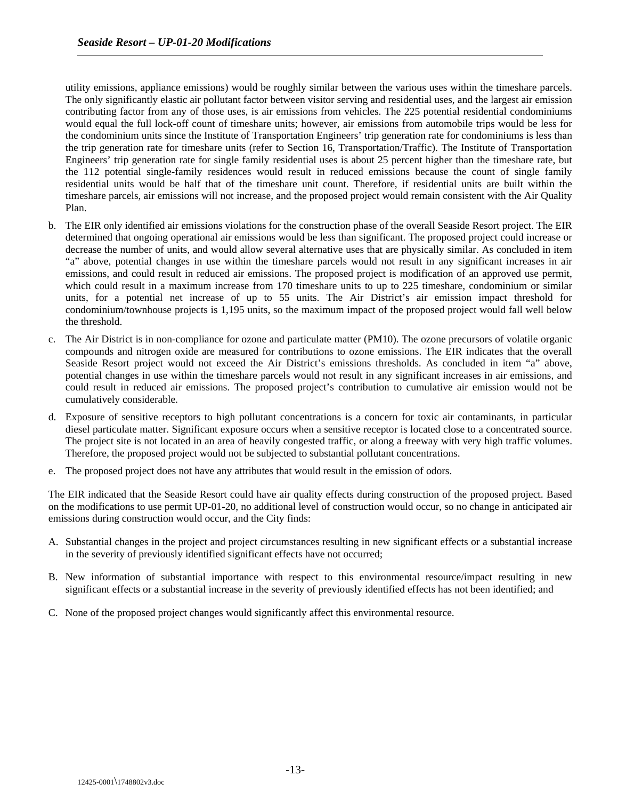utility emissions, appliance emissions) would be roughly similar between the various uses within the timeshare parcels. The only significantly elastic air pollutant factor between visitor serving and residential uses, and the largest air emission contributing factor from any of those uses, is air emissions from vehicles. The 225 potential residential condominiums would equal the full lock-off count of timeshare units; however, air emissions from automobile trips would be less for the condominium units since the Institute of Transportation Engineers' trip generation rate for condominiums is less than the trip generation rate for timeshare units (refer to Section 16, Transportation/Traffic). The Institute of Transportation Engineers' trip generation rate for single family residential uses is about 25 percent higher than the timeshare rate, but the 112 potential single-family residences would result in reduced emissions because the count of single family residential units would be half that of the timeshare unit count. Therefore, if residential units are built within the timeshare parcels, air emissions will not increase, and the proposed project would remain consistent with the Air Quality Plan.

- b. The EIR only identified air emissions violations for the construction phase of the overall Seaside Resort project. The EIR determined that ongoing operational air emissions would be less than significant. The proposed project could increase or decrease the number of units, and would allow several alternative uses that are physically similar. As concluded in item "a" above, potential changes in use within the timeshare parcels would not result in any significant increases in air emissions, and could result in reduced air emissions. The proposed project is modification of an approved use permit, which could result in a maximum increase from 170 timeshare units to up to 225 timeshare, condominium or similar units, for a potential net increase of up to 55 units. The Air District's air emission impact threshold for condominium/townhouse projects is 1,195 units, so the maximum impact of the proposed project would fall well below the threshold.
- c. The Air District is in non-compliance for ozone and particulate matter (PM10). The ozone precursors of volatile organic compounds and nitrogen oxide are measured for contributions to ozone emissions. The EIR indicates that the overall Seaside Resort project would not exceed the Air District's emissions thresholds. As concluded in item "a" above, potential changes in use within the timeshare parcels would not result in any significant increases in air emissions, and could result in reduced air emissions. The proposed project's contribution to cumulative air emission would not be cumulatively considerable.
- d. Exposure of sensitive receptors to high pollutant concentrations is a concern for toxic air contaminants, in particular diesel particulate matter. Significant exposure occurs when a sensitive receptor is located close to a concentrated source. The project site is not located in an area of heavily congested traffic, or along a freeway with very high traffic volumes. Therefore, the proposed project would not be subjected to substantial pollutant concentrations.
- e. The proposed project does not have any attributes that would result in the emission of odors.

The EIR indicated that the Seaside Resort could have air quality effects during construction of the proposed project. Based on the modifications to use permit UP-01-20, no additional level of construction would occur, so no change in anticipated air emissions during construction would occur, and the City finds:

- A. Substantial changes in the project and project circumstances resulting in new significant effects or a substantial increase in the severity of previously identified significant effects have not occurred;
- B. New information of substantial importance with respect to this environmental resource/impact resulting in new significant effects or a substantial increase in the severity of previously identified effects has not been identified; and
- C. None of the proposed project changes would significantly affect this environmental resource.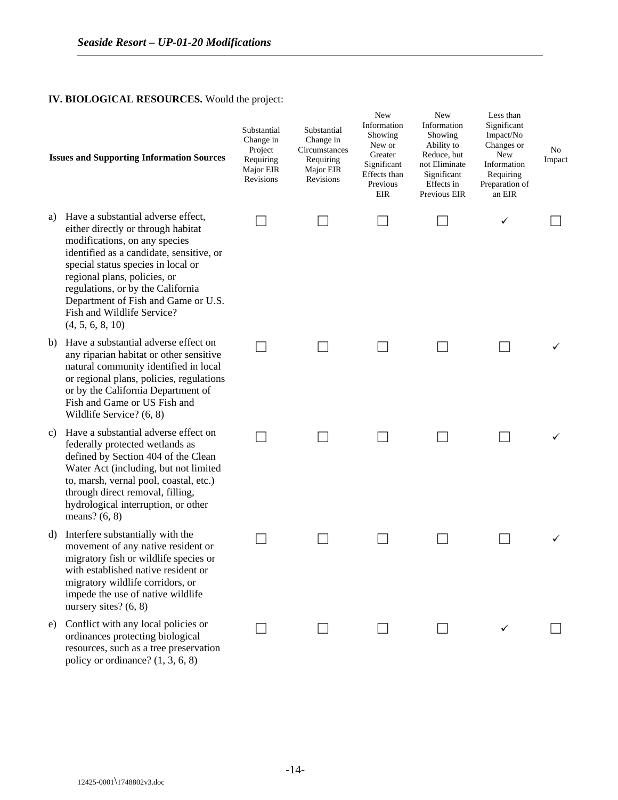## **IV. BIOLOGICAL RESOURCES.** Would the project:

|    | <b>Issues and Supporting Information Sources</b>                                                                                                                                                                                                                                                                                                          | Substantial<br>Change in<br>Project<br>Requiring<br>Major EIR<br>Revisions | Substantial<br>Change in<br>Circumstances<br>Requiring<br>Major EIR<br>Revisions | New<br>Information<br>Showing<br>New or<br>Greater<br>Significant<br>Effects than<br>Previous<br>EIR | New<br>Information<br>Showing<br>Ability to<br>Reduce, but<br>not Eliminate<br>Significant<br>Effects in<br>Previous EIR | Less than<br>Significant<br>Impact/No<br>Changes or<br>New<br>Information<br>Requiring<br>Preparation of<br>an EIR | No<br>Impact |
|----|-----------------------------------------------------------------------------------------------------------------------------------------------------------------------------------------------------------------------------------------------------------------------------------------------------------------------------------------------------------|----------------------------------------------------------------------------|----------------------------------------------------------------------------------|------------------------------------------------------------------------------------------------------|--------------------------------------------------------------------------------------------------------------------------|--------------------------------------------------------------------------------------------------------------------|--------------|
| a) | Have a substantial adverse effect,<br>either directly or through habitat<br>modifications, on any species<br>identified as a candidate, sensitive, or<br>special status species in local or<br>regional plans, policies, or<br>regulations, or by the California<br>Department of Fish and Game or U.S.<br>Fish and Wildlife Service?<br>(4, 5, 6, 8, 10) |                                                                            |                                                                                  |                                                                                                      |                                                                                                                          | ✓                                                                                                                  |              |
| b) | Have a substantial adverse effect on<br>any riparian habitat or other sensitive<br>natural community identified in local<br>or regional plans, policies, regulations<br>or by the California Department of<br>Fish and Game or US Fish and<br>Wildlife Service? (6, 8)                                                                                    |                                                                            |                                                                                  |                                                                                                      |                                                                                                                          |                                                                                                                    |              |
| c) | Have a substantial adverse effect on<br>federally protected wetlands as<br>defined by Section 404 of the Clean<br>Water Act (including, but not limited<br>to, marsh, vernal pool, coastal, etc.)<br>through direct removal, filling,<br>hydrological interruption, or other<br>means? $(6, 8)$                                                           |                                                                            |                                                                                  |                                                                                                      |                                                                                                                          |                                                                                                                    |              |
| d) | Interfere substantially with the<br>movement of any native resident or<br>migratory fish or wildlife species or<br>with established native resident or<br>migratory wildlife corridors, or<br>impede the use of native wildlife<br>nursery sites? $(6, 8)$                                                                                                |                                                                            |                                                                                  |                                                                                                      |                                                                                                                          |                                                                                                                    |              |
| e) | Conflict with any local policies or<br>ordinances protecting biological<br>resources, such as a tree preservation<br>policy or ordinance? $(1, 3, 6, 8)$                                                                                                                                                                                                  |                                                                            |                                                                                  |                                                                                                      |                                                                                                                          |                                                                                                                    |              |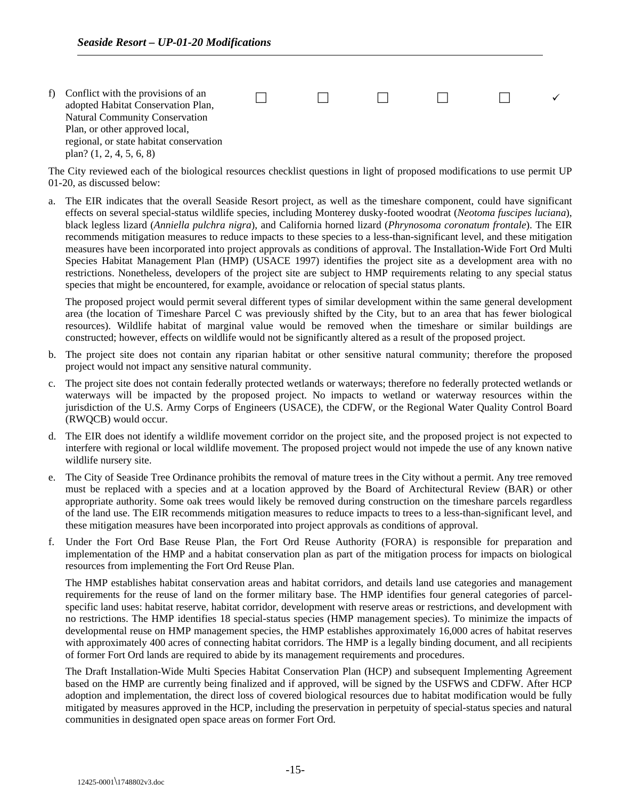f) Conflict with the provisions of an adopted Habitat Conservation Plan, Natural Community Conservation Plan, or other approved local, regional, or state habitat conservation plan? (1, 2, 4, 5, 6, 8)  $\Box$   $\Box$   $\Box$   $\Box$   $\checkmark$ 

The City reviewed each of the biological resources checklist questions in light of proposed modifications to use permit UP 01-20, as discussed below:

a. The EIR indicates that the overall Seaside Resort project, as well as the timeshare component, could have significant effects on several special-status wildlife species, including Monterey dusky-footed woodrat (*Neotoma fuscipes luciana*), black legless lizard (*Anniella pulchra nigra*), and California horned lizard (*Phrynosoma coronatum frontale*). The EIR recommends mitigation measures to reduce impacts to these species to a less-than-significant level, and these mitigation measures have been incorporated into project approvals as conditions of approval. The Installation-Wide Fort Ord Multi Species Habitat Management Plan (HMP) (USACE 1997) identifies the project site as a development area with no restrictions. Nonetheless, developers of the project site are subject to HMP requirements relating to any special status species that might be encountered, for example, avoidance or relocation of special status plants.

 The proposed project would permit several different types of similar development within the same general development area (the location of Timeshare Parcel C was previously shifted by the City, but to an area that has fewer biological resources). Wildlife habitat of marginal value would be removed when the timeshare or similar buildings are constructed; however, effects on wildlife would not be significantly altered as a result of the proposed project.

- b. The project site does not contain any riparian habitat or other sensitive natural community; therefore the proposed project would not impact any sensitive natural community.
- c. The project site does not contain federally protected wetlands or waterways; therefore no federally protected wetlands or waterways will be impacted by the proposed project. No impacts to wetland or waterway resources within the jurisdiction of the U.S. Army Corps of Engineers (USACE), the CDFW, or the Regional Water Quality Control Board (RWQCB) would occur.
- d. The EIR does not identify a wildlife movement corridor on the project site, and the proposed project is not expected to interfere with regional or local wildlife movement. The proposed project would not impede the use of any known native wildlife nursery site.
- e. The City of Seaside Tree Ordinance prohibits the removal of mature trees in the City without a permit. Any tree removed must be replaced with a species and at a location approved by the Board of Architectural Review (BAR) or other appropriate authority. Some oak trees would likely be removed during construction on the timeshare parcels regardless of the land use. The EIR recommends mitigation measures to reduce impacts to trees to a less-than-significant level, and these mitigation measures have been incorporated into project approvals as conditions of approval.
- f. Under the Fort Ord Base Reuse Plan, the Fort Ord Reuse Authority (FORA) is responsible for preparation and implementation of the HMP and a habitat conservation plan as part of the mitigation process for impacts on biological resources from implementing the Fort Ord Reuse Plan.

 The HMP establishes habitat conservation areas and habitat corridors, and details land use categories and management requirements for the reuse of land on the former military base. The HMP identifies four general categories of parcelspecific land uses: habitat reserve, habitat corridor, development with reserve areas or restrictions, and development with no restrictions. The HMP identifies 18 special-status species (HMP management species). To minimize the impacts of developmental reuse on HMP management species, the HMP establishes approximately 16,000 acres of habitat reserves with approximately 400 acres of connecting habitat corridors. The HMP is a legally binding document, and all recipients of former Fort Ord lands are required to abide by its management requirements and procedures.

 The Draft Installation-Wide Multi Species Habitat Conservation Plan (HCP) and subsequent Implementing Agreement based on the HMP are currently being finalized and if approved, will be signed by the USFWS and CDFW. After HCP adoption and implementation, the direct loss of covered biological resources due to habitat modification would be fully mitigated by measures approved in the HCP, including the preservation in perpetuity of special-status species and natural communities in designated open space areas on former Fort Ord.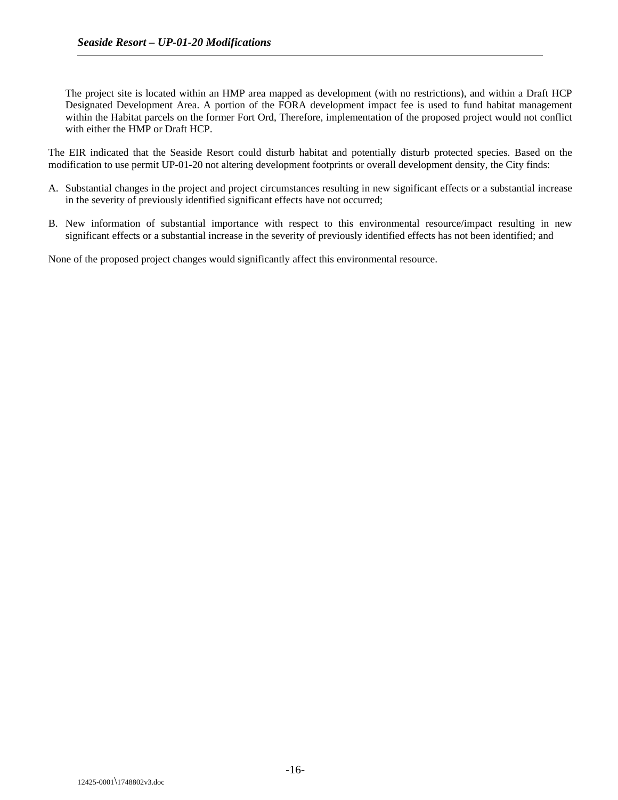The project site is located within an HMP area mapped as development (with no restrictions), and within a Draft HCP Designated Development Area. A portion of the FORA development impact fee is used to fund habitat management within the Habitat parcels on the former Fort Ord, Therefore, implementation of the proposed project would not conflict with either the HMP or Draft HCP.

The EIR indicated that the Seaside Resort could disturb habitat and potentially disturb protected species. Based on the modification to use permit UP-01-20 not altering development footprints or overall development density, the City finds:

- A. Substantial changes in the project and project circumstances resulting in new significant effects or a substantial increase in the severity of previously identified significant effects have not occurred;
- B. New information of substantial importance with respect to this environmental resource/impact resulting in new significant effects or a substantial increase in the severity of previously identified effects has not been identified; and

None of the proposed project changes would significantly affect this environmental resource.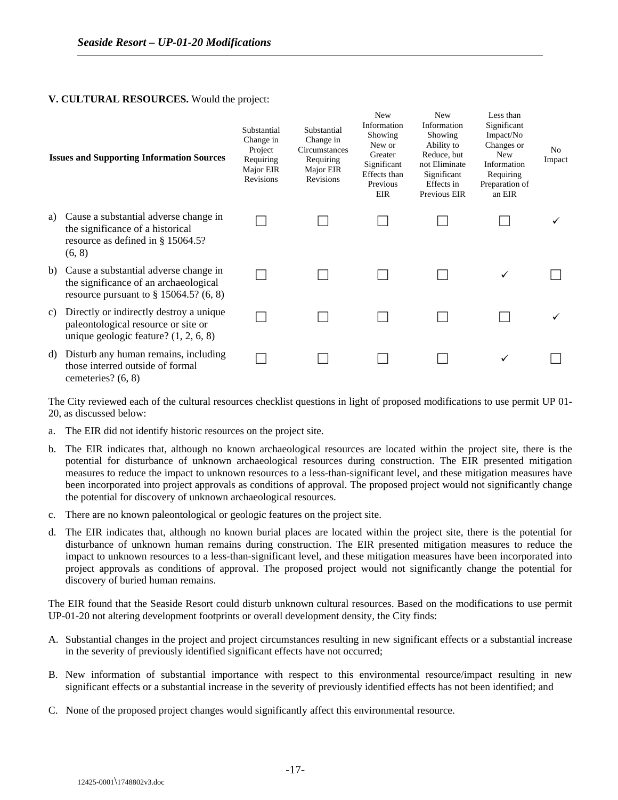## **V. CULTURAL RESOURCES.** Would the project:

|    | <b>Issues and Supporting Information Sources</b>                                                                            | Substantial<br>Change in<br>Project<br>Requiring<br>Major EIR<br>Revisions | Substantial<br>Change in<br>Circumstances<br>Requiring<br>Major EIR<br><b>Revisions</b> | <b>New</b><br>Information<br>Showing<br>New or<br>Greater<br>Significant<br>Effects than<br>Previous<br>EIR | <b>New</b><br>Information<br>Showing<br>Ability to<br>Reduce, but<br>not Eliminate<br>Significant<br>Effects in<br>Previous EIR | Less than<br>Significant<br>Impact/No<br>Changes or<br><b>New</b><br>Information<br>Requiring<br>Preparation of<br>an EIR | No<br>Impact |
|----|-----------------------------------------------------------------------------------------------------------------------------|----------------------------------------------------------------------------|-----------------------------------------------------------------------------------------|-------------------------------------------------------------------------------------------------------------|---------------------------------------------------------------------------------------------------------------------------------|---------------------------------------------------------------------------------------------------------------------------|--------------|
| a) | Cause a substantial adverse change in<br>the significance of a historical<br>resource as defined in § 15064.5?<br>(6, 8)    |                                                                            |                                                                                         |                                                                                                             |                                                                                                                                 |                                                                                                                           |              |
| b) | Cause a substantial adverse change in<br>the significance of an archaeological<br>resource pursuant to $\S$ 15064.5? (6, 8) |                                                                            |                                                                                         |                                                                                                             |                                                                                                                                 | ✓                                                                                                                         |              |
| C) | Directly or indirectly destroy a unique<br>paleontological resource or site or<br>unique geologic feature? $(1, 2, 6, 8)$   |                                                                            |                                                                                         |                                                                                                             |                                                                                                                                 |                                                                                                                           |              |
| d) | Disturb any human remains, including<br>those interred outside of formal<br>cemeteries? $(6, 8)$                            |                                                                            |                                                                                         |                                                                                                             |                                                                                                                                 | ✓                                                                                                                         |              |

The City reviewed each of the cultural resources checklist questions in light of proposed modifications to use permit UP 01- 20, as discussed below:

- a. The EIR did not identify historic resources on the project site.
- b. The EIR indicates that, although no known archaeological resources are located within the project site, there is the potential for disturbance of unknown archaeological resources during construction. The EIR presented mitigation measures to reduce the impact to unknown resources to a less-than-significant level, and these mitigation measures have been incorporated into project approvals as conditions of approval. The proposed project would not significantly change the potential for discovery of unknown archaeological resources.
- c. There are no known paleontological or geologic features on the project site.
- d. The EIR indicates that, although no known burial places are located within the project site, there is the potential for disturbance of unknown human remains during construction. The EIR presented mitigation measures to reduce the impact to unknown resources to a less-than-significant level, and these mitigation measures have been incorporated into project approvals as conditions of approval. The proposed project would not significantly change the potential for discovery of buried human remains.

The EIR found that the Seaside Resort could disturb unknown cultural resources. Based on the modifications to use permit UP-01-20 not altering development footprints or overall development density, the City finds:

- A. Substantial changes in the project and project circumstances resulting in new significant effects or a substantial increase in the severity of previously identified significant effects have not occurred;
- B. New information of substantial importance with respect to this environmental resource/impact resulting in new significant effects or a substantial increase in the severity of previously identified effects has not been identified; and
- C. None of the proposed project changes would significantly affect this environmental resource.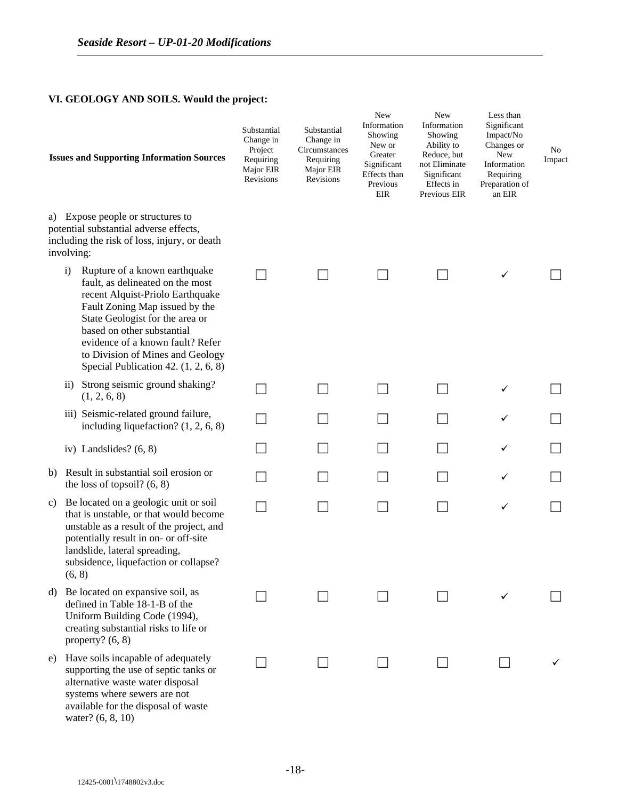## **VI. GEOLOGY AND SOILS. Would the project:**

|                  |              | <b>Issues and Supporting Information Sources</b>                                                                                                                                                                                                                                                                           | Substantial<br>Change in<br>Project<br>Requiring<br>Major EIR<br>Revisions | Substantial<br>Change in<br>Circumstances<br>Requiring<br>Major EIR<br>Revisions | <b>New</b><br>Information<br>Showing<br>New or<br>Greater<br>Significant<br>Effects than<br>Previous<br>EIR | New<br>Information<br>Showing<br>Ability to<br>Reduce, but<br>not Eliminate<br>Significant<br>Effects in<br>Previous EIR | Less than<br>Significant<br>Impact/No<br>Changes or<br>New<br>Information<br>Requiring<br>Preparation of<br>an EIR | No<br>Impact |
|------------------|--------------|----------------------------------------------------------------------------------------------------------------------------------------------------------------------------------------------------------------------------------------------------------------------------------------------------------------------------|----------------------------------------------------------------------------|----------------------------------------------------------------------------------|-------------------------------------------------------------------------------------------------------------|--------------------------------------------------------------------------------------------------------------------------|--------------------------------------------------------------------------------------------------------------------|--------------|
| a)<br>involving: |              | Expose people or structures to<br>potential substantial adverse effects,<br>including the risk of loss, injury, or death                                                                                                                                                                                                   |                                                                            |                                                                                  |                                                                                                             |                                                                                                                          |                                                                                                                    |              |
|                  | $\mathbf{i}$ | Rupture of a known earthquake<br>fault, as delineated on the most<br>recent Alquist-Priolo Earthquake<br>Fault Zoning Map issued by the<br>State Geologist for the area or<br>based on other substantial<br>evidence of a known fault? Refer<br>to Division of Mines and Geology<br>Special Publication 42. $(1, 2, 6, 8)$ |                                                                            |                                                                                  |                                                                                                             |                                                                                                                          | ✓                                                                                                                  |              |
|                  | $\rm ii)$    | Strong seismic ground shaking?<br>(1, 2, 6, 8)                                                                                                                                                                                                                                                                             |                                                                            |                                                                                  |                                                                                                             |                                                                                                                          | ✓                                                                                                                  |              |
|                  |              | iii) Seismic-related ground failure,<br>including liquefaction? $(1, 2, 6, 8)$                                                                                                                                                                                                                                             |                                                                            |                                                                                  |                                                                                                             |                                                                                                                          | ✓                                                                                                                  |              |
|                  |              | iv) Landslides? $(6, 8)$                                                                                                                                                                                                                                                                                                   |                                                                            |                                                                                  |                                                                                                             |                                                                                                                          | ✓                                                                                                                  |              |
| b)               |              | Result in substantial soil erosion or<br>the loss of topsoil? $(6, 8)$                                                                                                                                                                                                                                                     |                                                                            |                                                                                  |                                                                                                             |                                                                                                                          | ✓                                                                                                                  |              |
| C)               | (6, 8)       | Be located on a geologic unit or soil<br>that is unstable, or that would become<br>unstable as a result of the project, and<br>potentially result in on- or off-site<br>landslide, lateral spreading,<br>subsidence, liquefaction or collapse?                                                                             |                                                                            |                                                                                  |                                                                                                             |                                                                                                                          | ✓                                                                                                                  |              |
| d)               |              | Be located on expansive soil, as<br>defined in Table 18-1-B of the<br>Uniform Building Code (1994),<br>creating substantial risks to life or<br>property? $(6, 8)$                                                                                                                                                         |                                                                            |                                                                                  |                                                                                                             |                                                                                                                          |                                                                                                                    |              |
| e)               |              | Have soils incapable of adequately<br>supporting the use of septic tanks or<br>alternative waste water disposal<br>systems where sewers are not<br>available for the disposal of waste<br>water? (6, 8, 10)                                                                                                                |                                                                            |                                                                                  |                                                                                                             |                                                                                                                          |                                                                                                                    |              |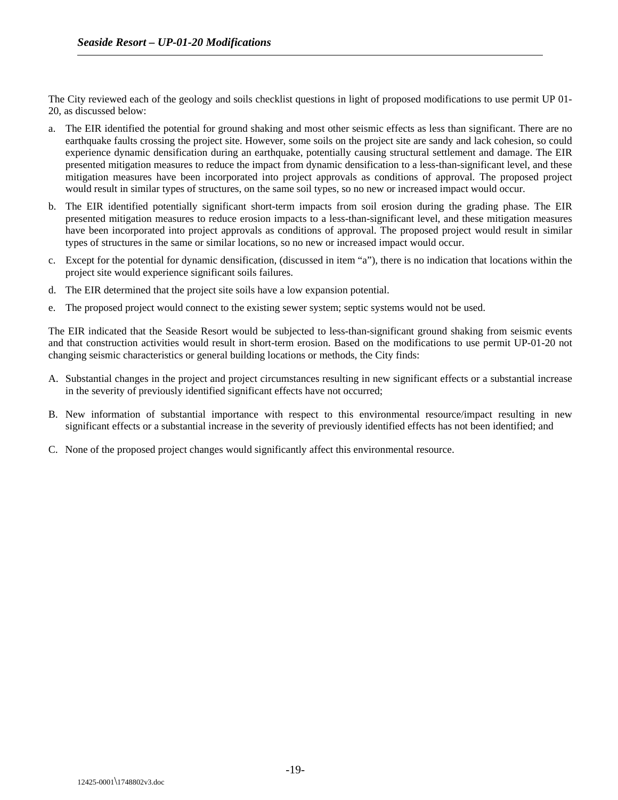The City reviewed each of the geology and soils checklist questions in light of proposed modifications to use permit UP 01- 20, as discussed below:

- a. The EIR identified the potential for ground shaking and most other seismic effects as less than significant. There are no earthquake faults crossing the project site. However, some soils on the project site are sandy and lack cohesion, so could experience dynamic densification during an earthquake, potentially causing structural settlement and damage. The EIR presented mitigation measures to reduce the impact from dynamic densification to a less-than-significant level, and these mitigation measures have been incorporated into project approvals as conditions of approval. The proposed project would result in similar types of structures, on the same soil types, so no new or increased impact would occur.
- b. The EIR identified potentially significant short-term impacts from soil erosion during the grading phase. The EIR presented mitigation measures to reduce erosion impacts to a less-than-significant level, and these mitigation measures have been incorporated into project approvals as conditions of approval. The proposed project would result in similar types of structures in the same or similar locations, so no new or increased impact would occur.
- c. Except for the potential for dynamic densification, (discussed in item "a"), there is no indication that locations within the project site would experience significant soils failures.
- d. The EIR determined that the project site soils have a low expansion potential.
- e. The proposed project would connect to the existing sewer system; septic systems would not be used.

The EIR indicated that the Seaside Resort would be subjected to less-than-significant ground shaking from seismic events and that construction activities would result in short-term erosion. Based on the modifications to use permit UP-01-20 not changing seismic characteristics or general building locations or methods, the City finds:

- A. Substantial changes in the project and project circumstances resulting in new significant effects or a substantial increase in the severity of previously identified significant effects have not occurred;
- B. New information of substantial importance with respect to this environmental resource/impact resulting in new significant effects or a substantial increase in the severity of previously identified effects has not been identified; and
- C. None of the proposed project changes would significantly affect this environmental resource.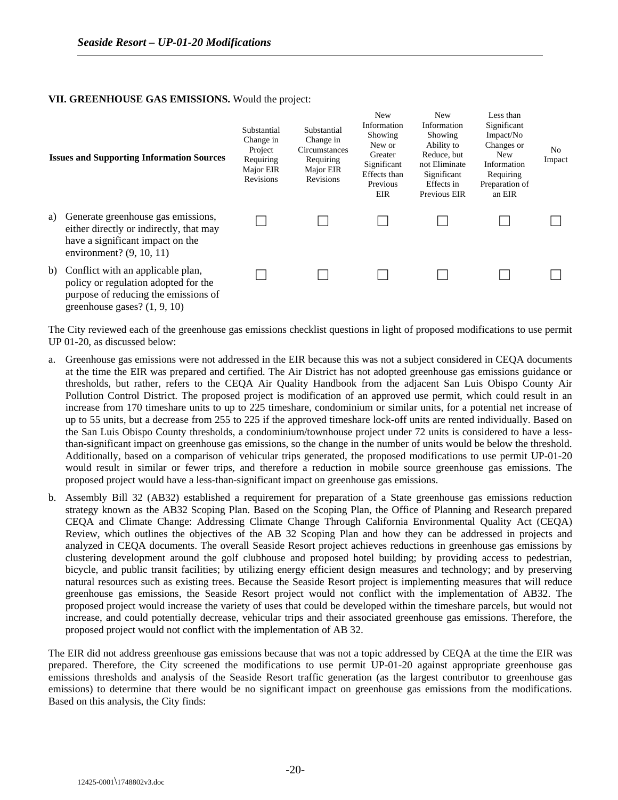### **VII. GREENHOUSE GAS EMISSIONS.** Would the project:

|    | <b>Issues and Supporting Information Sources</b>                                                                                                       | Substantial<br>Change in<br>Project<br>Requiring<br>Major EIR<br>Revisions | Substantial<br>Change in<br>Circumstances<br>Requiring<br>Major EIR<br>Revisions | New<br>Information<br><b>Showing</b><br>New or<br>Greater<br>Significant<br>Effects than<br>Previous<br>EIR | <b>New</b><br>Information<br>Showing<br>Ability to<br>Reduce, but<br>not Eliminate<br>Significant<br>Effects in<br>Previous EIR | Less than<br>Significant<br>Impact/No<br>Changes or<br><b>New</b><br>Information<br>Requiring<br>Preparation of<br>an EIR | No.<br>Impact |
|----|--------------------------------------------------------------------------------------------------------------------------------------------------------|----------------------------------------------------------------------------|----------------------------------------------------------------------------------|-------------------------------------------------------------------------------------------------------------|---------------------------------------------------------------------------------------------------------------------------------|---------------------------------------------------------------------------------------------------------------------------|---------------|
| a) | Generate greenhouse gas emissions,<br>either directly or indirectly, that may<br>have a significant impact on the<br>environment? $(9, 10, 11)$        |                                                                            |                                                                                  |                                                                                                             |                                                                                                                                 |                                                                                                                           |               |
|    | b) Conflict with an applicable plan,<br>policy or regulation adopted for the<br>purpose of reducing the emissions of<br>greenhouse gases? $(1, 9, 10)$ |                                                                            |                                                                                  |                                                                                                             |                                                                                                                                 |                                                                                                                           |               |

The City reviewed each of the greenhouse gas emissions checklist questions in light of proposed modifications to use permit UP 01-20, as discussed below:

- a. Greenhouse gas emissions were not addressed in the EIR because this was not a subject considered in CEQA documents at the time the EIR was prepared and certified. The Air District has not adopted greenhouse gas emissions guidance or thresholds, but rather, refers to the CEQA Air Quality Handbook from the adjacent San Luis Obispo County Air Pollution Control District. The proposed project is modification of an approved use permit, which could result in an increase from 170 timeshare units to up to 225 timeshare, condominium or similar units, for a potential net increase of up to 55 units, but a decrease from 255 to 225 if the approved timeshare lock-off units are rented individually. Based on the San Luis Obispo County thresholds, a condominium/townhouse project under 72 units is considered to have a lessthan-significant impact on greenhouse gas emissions, so the change in the number of units would be below the threshold. Additionally, based on a comparison of vehicular trips generated, the proposed modifications to use permit UP-01-20 would result in similar or fewer trips, and therefore a reduction in mobile source greenhouse gas emissions. The proposed project would have a less-than-significant impact on greenhouse gas emissions.
- b. Assembly Bill 32 (AB32) established a requirement for preparation of a State greenhouse gas emissions reduction strategy known as the AB32 Scoping Plan. Based on the Scoping Plan, the Office of Planning and Research prepared CEQA and Climate Change: Addressing Climate Change Through California Environmental Quality Act (CEQA) Review, which outlines the objectives of the AB 32 Scoping Plan and how they can be addressed in projects and analyzed in CEQA documents. The overall Seaside Resort project achieves reductions in greenhouse gas emissions by clustering development around the golf clubhouse and proposed hotel building; by providing access to pedestrian, bicycle, and public transit facilities; by utilizing energy efficient design measures and technology; and by preserving natural resources such as existing trees. Because the Seaside Resort project is implementing measures that will reduce greenhouse gas emissions, the Seaside Resort project would not conflict with the implementation of AB32. The proposed project would increase the variety of uses that could be developed within the timeshare parcels, but would not increase, and could potentially decrease, vehicular trips and their associated greenhouse gas emissions. Therefore, the proposed project would not conflict with the implementation of AB 32.

The EIR did not address greenhouse gas emissions because that was not a topic addressed by CEQA at the time the EIR was prepared. Therefore, the City screened the modifications to use permit UP-01-20 against appropriate greenhouse gas emissions thresholds and analysis of the Seaside Resort traffic generation (as the largest contributor to greenhouse gas emissions) to determine that there would be no significant impact on greenhouse gas emissions from the modifications. Based on this analysis, the City finds: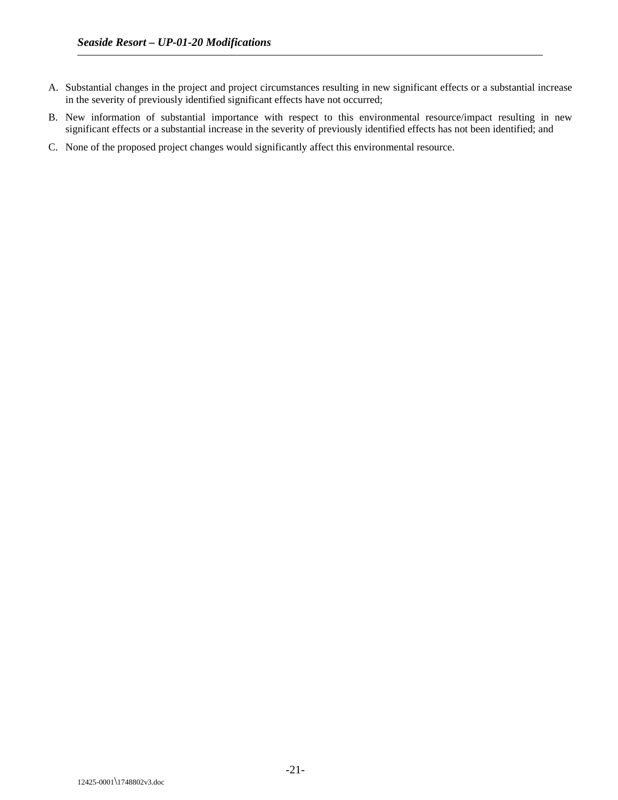- A. Substantial changes in the project and project circumstances resulting in new significant effects or a substantial increase in the severity of previously identified significant effects have not occurred;
- B. New information of substantial importance with respect to this environmental resource/impact resulting in new significant effects or a substantial increase in the severity of previously identified effects has not been identified; and
- C. None of the proposed project changes would significantly affect this environmental resource.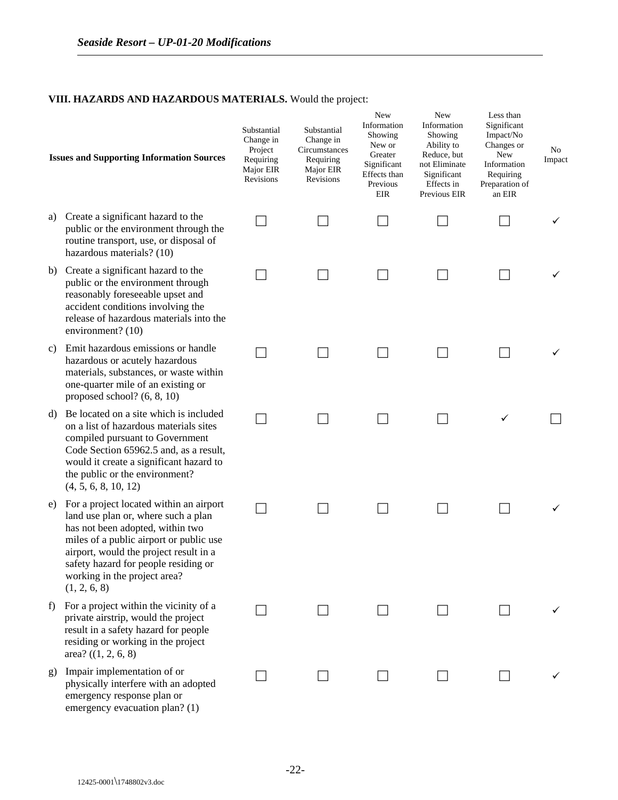# **VIII. HAZARDS AND HAZARDOUS MATERIALS.** Would the project:

|    | <b>Issues and Supporting Information Sources</b>                                                                                                                                                                                                                                                | Substantial<br>Change in<br>Project<br>Requiring<br>Major EIR<br>Revisions | Substantial<br>Change in<br>Circumstances<br>Requiring<br>Major EIR<br>Revisions | New<br>Information<br>Showing<br>New or<br>Greater<br>Significant<br>Effects than<br>Previous<br>EIR | New<br>Information<br>Showing<br>Ability to<br>Reduce, but<br>not Eliminate<br>Significant<br>Effects in<br>Previous EIR | Less than<br>Significant<br>Impact/No<br>Changes or<br>New<br>Information<br>Requiring<br>Preparation of<br>an EIR | No.<br>Impact |
|----|-------------------------------------------------------------------------------------------------------------------------------------------------------------------------------------------------------------------------------------------------------------------------------------------------|----------------------------------------------------------------------------|----------------------------------------------------------------------------------|------------------------------------------------------------------------------------------------------|--------------------------------------------------------------------------------------------------------------------------|--------------------------------------------------------------------------------------------------------------------|---------------|
| a) | Create a significant hazard to the<br>public or the environment through the<br>routine transport, use, or disposal of<br>hazardous materials? (10)                                                                                                                                              |                                                                            |                                                                                  |                                                                                                      |                                                                                                                          |                                                                                                                    |               |
| b) | Create a significant hazard to the<br>public or the environment through<br>reasonably foreseeable upset and<br>accident conditions involving the<br>release of hazardous materials into the<br>environment? (10)                                                                                |                                                                            |                                                                                  |                                                                                                      |                                                                                                                          |                                                                                                                    |               |
| C) | Emit hazardous emissions or handle<br>hazardous or acutely hazardous<br>materials, substances, or waste within<br>one-quarter mile of an existing or<br>proposed school? $(6, 8, 10)$                                                                                                           |                                                                            |                                                                                  |                                                                                                      |                                                                                                                          |                                                                                                                    |               |
| d) | Be located on a site which is included<br>on a list of hazardous materials sites<br>compiled pursuant to Government<br>Code Section 65962.5 and, as a result,<br>would it create a significant hazard to<br>the public or the environment?<br>(4, 5, 6, 8, 10, 12)                              |                                                                            |                                                                                  |                                                                                                      |                                                                                                                          | ✓                                                                                                                  |               |
| e) | For a project located within an airport<br>land use plan or, where such a plan<br>has not been adopted, within two<br>miles of a public airport or public use<br>airport, would the project result in a<br>safety hazard for people residing or<br>working in the project area?<br>(1, 2, 6, 8) |                                                                            |                                                                                  |                                                                                                      |                                                                                                                          |                                                                                                                    |               |
| f) | For a project within the vicinity of a<br>private airstrip, would the project<br>result in a safety hazard for people<br>residing or working in the project<br>area? $((1, 2, 6, 8)$                                                                                                            |                                                                            |                                                                                  |                                                                                                      |                                                                                                                          |                                                                                                                    |               |
| g) | Impair implementation of or<br>physically interfere with an adopted<br>emergency response plan or<br>emergency evacuation plan? (1)                                                                                                                                                             |                                                                            |                                                                                  |                                                                                                      |                                                                                                                          |                                                                                                                    |               |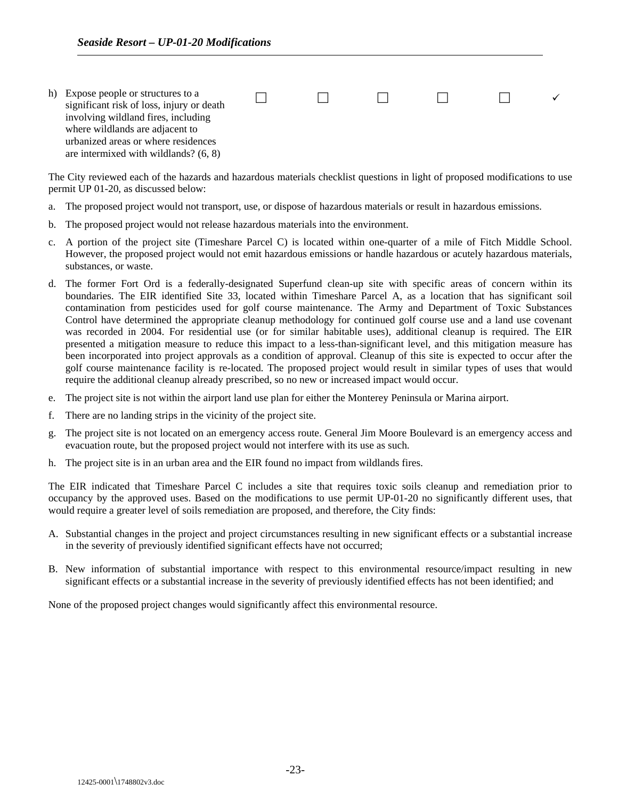h) Expose people or structures to a significant risk of loss, injury or death involving wildland fires, including where wildlands are adjacent to urbanized areas or where residences are intermixed with wildlands? (6, 8)  $\Box$   $\Box$   $\Box$   $\Box$   $\checkmark$ 

The City reviewed each of the hazards and hazardous materials checklist questions in light of proposed modifications to use permit UP 01-20, as discussed below:

- a. The proposed project would not transport, use, or dispose of hazardous materials or result in hazardous emissions.
- b. The proposed project would not release hazardous materials into the environment.
- c. A portion of the project site (Timeshare Parcel C) is located within one-quarter of a mile of Fitch Middle School. However, the proposed project would not emit hazardous emissions or handle hazardous or acutely hazardous materials, substances, or waste.
- d. The former Fort Ord is a federally-designated Superfund clean-up site with specific areas of concern within its boundaries. The EIR identified Site 33, located within Timeshare Parcel A, as a location that has significant soil contamination from pesticides used for golf course maintenance. The Army and Department of Toxic Substances Control have determined the appropriate cleanup methodology for continued golf course use and a land use covenant was recorded in 2004. For residential use (or for similar habitable uses), additional cleanup is required. The EIR presented a mitigation measure to reduce this impact to a less-than-significant level, and this mitigation measure has been incorporated into project approvals as a condition of approval. Cleanup of this site is expected to occur after the golf course maintenance facility is re-located. The proposed project would result in similar types of uses that would require the additional cleanup already prescribed, so no new or increased impact would occur.
- e. The project site is not within the airport land use plan for either the Monterey Peninsula or Marina airport.
- f. There are no landing strips in the vicinity of the project site.
- g. The project site is not located on an emergency access route. General Jim Moore Boulevard is an emergency access and evacuation route, but the proposed project would not interfere with its use as such.
- h. The project site is in an urban area and the EIR found no impact from wildlands fires.

The EIR indicated that Timeshare Parcel C includes a site that requires toxic soils cleanup and remediation prior to occupancy by the approved uses. Based on the modifications to use permit UP-01-20 no significantly different uses, that would require a greater level of soils remediation are proposed, and therefore, the City finds:

- A. Substantial changes in the project and project circumstances resulting in new significant effects or a substantial increase in the severity of previously identified significant effects have not occurred;
- B. New information of substantial importance with respect to this environmental resource/impact resulting in new significant effects or a substantial increase in the severity of previously identified effects has not been identified; and

None of the proposed project changes would significantly affect this environmental resource.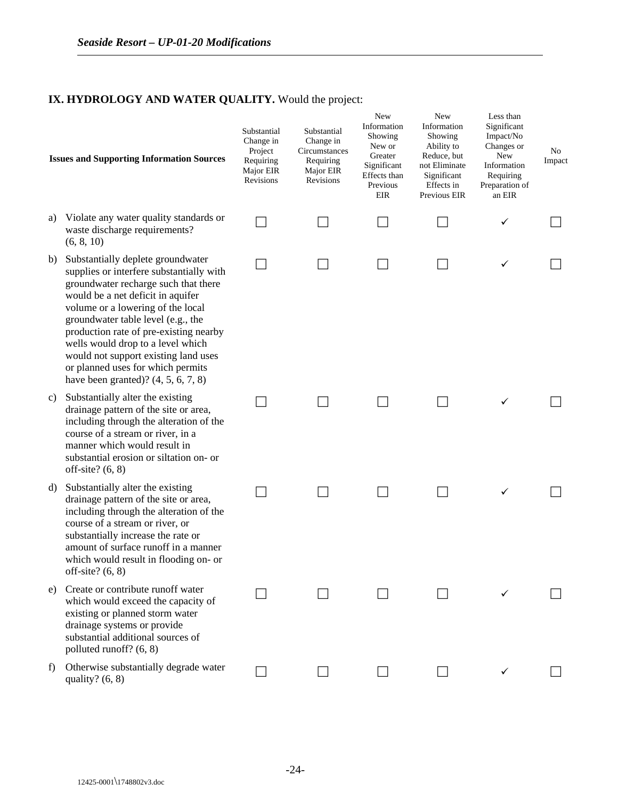# **IX. HYDROLOGY AND WATER QUALITY.** Would the project:

|    | <b>Issues and Supporting Information Sources</b>                                                                                                                                                                                                                                                                                                                                                                                           | Substantial<br>Change in<br>Project<br>Requiring<br>Major EIR<br>Revisions | Substantial<br>Change in<br>Circumstances<br>Requiring<br>Major EIR<br>Revisions | <b>New</b><br>Information<br>Showing<br>New or<br>Greater<br>Significant<br>Effects than<br>Previous<br><b>EIR</b> | New<br>Information<br>Showing<br>Ability to<br>Reduce, but<br>not Eliminate<br>Significant<br>Effects in<br>Previous EIR | Less than<br>Significant<br>Impact/No<br>Changes or<br>New<br>Information<br>Requiring<br>Preparation of<br>an EIR | No<br>Impact |
|----|--------------------------------------------------------------------------------------------------------------------------------------------------------------------------------------------------------------------------------------------------------------------------------------------------------------------------------------------------------------------------------------------------------------------------------------------|----------------------------------------------------------------------------|----------------------------------------------------------------------------------|--------------------------------------------------------------------------------------------------------------------|--------------------------------------------------------------------------------------------------------------------------|--------------------------------------------------------------------------------------------------------------------|--------------|
| a) | Violate any water quality standards or<br>waste discharge requirements?<br>(6, 8, 10)                                                                                                                                                                                                                                                                                                                                                      |                                                                            | $\blacksquare$                                                                   |                                                                                                                    |                                                                                                                          | ✓                                                                                                                  |              |
| b) | Substantially deplete groundwater<br>supplies or interfere substantially with<br>groundwater recharge such that there<br>would be a net deficit in aquifer<br>volume or a lowering of the local<br>groundwater table level (e.g., the<br>production rate of pre-existing nearby<br>wells would drop to a level which<br>would not support existing land uses<br>or planned uses for which permits<br>have been granted)? $(4, 5, 6, 7, 8)$ |                                                                            | $\blacksquare$                                                                   |                                                                                                                    |                                                                                                                          | ✓                                                                                                                  |              |
| c) | Substantially alter the existing<br>drainage pattern of the site or area,<br>including through the alteration of the<br>course of a stream or river, in a<br>manner which would result in<br>substantial erosion or siltation on- or<br>off-site? $(6, 8)$                                                                                                                                                                                 |                                                                            | $\blacksquare$                                                                   |                                                                                                                    |                                                                                                                          | ✓                                                                                                                  |              |
| d) | Substantially alter the existing<br>drainage pattern of the site or area,<br>including through the alteration of the<br>course of a stream or river, or<br>substantially increase the rate or<br>amount of surface runoff in a manner<br>which would result in flooding on- or<br>off-site? $(6, 8)$                                                                                                                                       |                                                                            |                                                                                  |                                                                                                                    |                                                                                                                          | ✓                                                                                                                  |              |
| e) | Create or contribute runoff water<br>which would exceed the capacity of<br>existing or planned storm water<br>drainage systems or provide<br>substantial additional sources of<br>polluted runoff? (6, 8)                                                                                                                                                                                                                                  |                                                                            |                                                                                  |                                                                                                                    |                                                                                                                          | ✓                                                                                                                  |              |
| f) | Otherwise substantially degrade water<br>quality? $(6, 8)$                                                                                                                                                                                                                                                                                                                                                                                 |                                                                            |                                                                                  |                                                                                                                    |                                                                                                                          | ✓                                                                                                                  |              |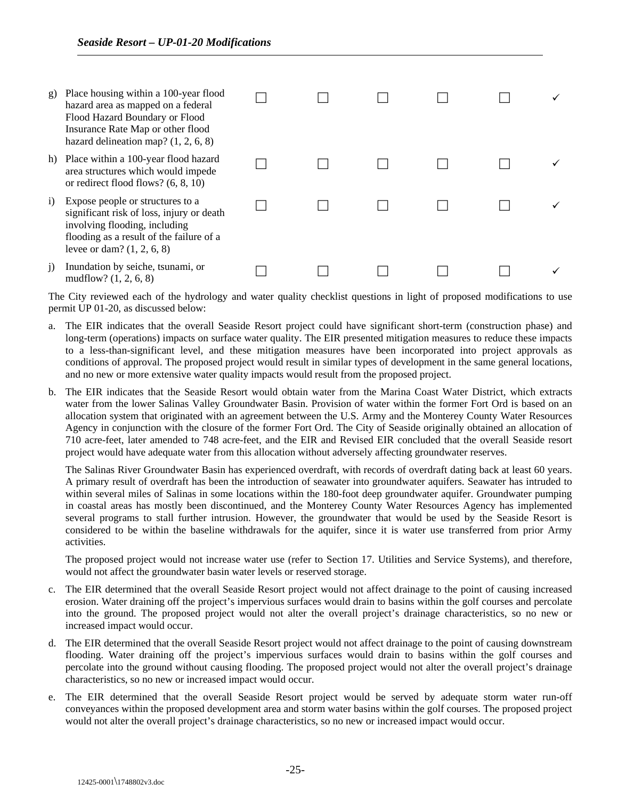| g) | Place housing within a 100-year flood<br>hazard area as mapped on a federal<br>Flood Hazard Boundary or Flood<br>Insurance Rate Map or other flood<br>hazard delineation map? $(1, 2, 6, 8)$ |  |  |  |
|----|----------------------------------------------------------------------------------------------------------------------------------------------------------------------------------------------|--|--|--|
| h) | Place within a 100-year flood hazard<br>area structures which would impede<br>or redirect flood flows? $(6, 8, 10)$                                                                          |  |  |  |
| 1) | Expose people or structures to a<br>significant risk of loss, injury or death<br>involving flooding, including<br>flooding as a result of the failure of a<br>levee or dam? $(1, 2, 6, 8)$   |  |  |  |
| 1) | Inundation by seiche, tsunami, or<br>mudflow? $(1, 2, 6, 8)$                                                                                                                                 |  |  |  |

The City reviewed each of the hydrology and water quality checklist questions in light of proposed modifications to use permit UP 01-20, as discussed below:

- a. The EIR indicates that the overall Seaside Resort project could have significant short-term (construction phase) and long-term (operations) impacts on surface water quality. The EIR presented mitigation measures to reduce these impacts to a less-than-significant level, and these mitigation measures have been incorporated into project approvals as conditions of approval. The proposed project would result in similar types of development in the same general locations, and no new or more extensive water quality impacts would result from the proposed project.
- b. The EIR indicates that the Seaside Resort would obtain water from the Marina Coast Water District, which extracts water from the lower Salinas Valley Groundwater Basin. Provision of water within the former Fort Ord is based on an allocation system that originated with an agreement between the U.S. Army and the Monterey County Water Resources Agency in conjunction with the closure of the former Fort Ord. The City of Seaside originally obtained an allocation of 710 acre-feet, later amended to 748 acre-feet, and the EIR and Revised EIR concluded that the overall Seaside resort project would have adequate water from this allocation without adversely affecting groundwater reserves.

 The Salinas River Groundwater Basin has experienced overdraft, with records of overdraft dating back at least 60 years. A primary result of overdraft has been the introduction of seawater into groundwater aquifers. Seawater has intruded to within several miles of Salinas in some locations within the 180-foot deep groundwater aquifer. Groundwater pumping in coastal areas has mostly been discontinued, and the Monterey County Water Resources Agency has implemented several programs to stall further intrusion. However, the groundwater that would be used by the Seaside Resort is considered to be within the baseline withdrawals for the aquifer, since it is water use transferred from prior Army activities.

 The proposed project would not increase water use (refer to Section 17. Utilities and Service Systems), and therefore, would not affect the groundwater basin water levels or reserved storage.

- c. The EIR determined that the overall Seaside Resort project would not affect drainage to the point of causing increased erosion. Water draining off the project's impervious surfaces would drain to basins within the golf courses and percolate into the ground. The proposed project would not alter the overall project's drainage characteristics, so no new or increased impact would occur.
- d. The EIR determined that the overall Seaside Resort project would not affect drainage to the point of causing downstream flooding. Water draining off the project's impervious surfaces would drain to basins within the golf courses and percolate into the ground without causing flooding. The proposed project would not alter the overall project's drainage characteristics, so no new or increased impact would occur.
- e. The EIR determined that the overall Seaside Resort project would be served by adequate storm water run-off conveyances within the proposed development area and storm water basins within the golf courses. The proposed project would not alter the overall project's drainage characteristics, so no new or increased impact would occur.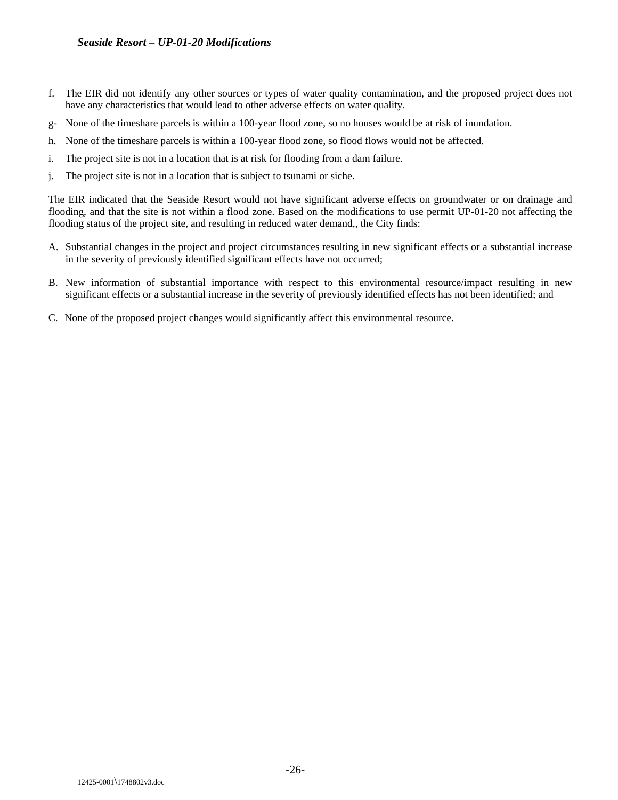- f. The EIR did not identify any other sources or types of water quality contamination, and the proposed project does not have any characteristics that would lead to other adverse effects on water quality.
- g- None of the timeshare parcels is within a 100-year flood zone, so no houses would be at risk of inundation.
- h. None of the timeshare parcels is within a 100-year flood zone, so flood flows would not be affected.
- i. The project site is not in a location that is at risk for flooding from a dam failure.
- j. The project site is not in a location that is subject to tsunami or siche.

The EIR indicated that the Seaside Resort would not have significant adverse effects on groundwater or on drainage and flooding, and that the site is not within a flood zone. Based on the modifications to use permit UP-01-20 not affecting the flooding status of the project site, and resulting in reduced water demand,, the City finds:

- A. Substantial changes in the project and project circumstances resulting in new significant effects or a substantial increase in the severity of previously identified significant effects have not occurred;
- B. New information of substantial importance with respect to this environmental resource/impact resulting in new significant effects or a substantial increase in the severity of previously identified effects has not been identified; and
- C. None of the proposed project changes would significantly affect this environmental resource.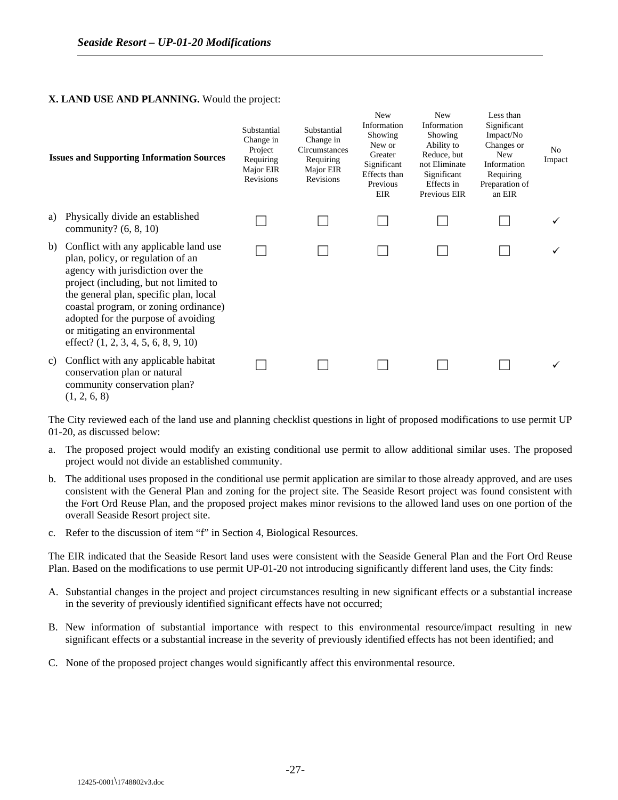## **X. LAND USE AND PLANNING.** Would the project:

|    | <b>Issues and Supporting Information Sources</b>                                                                                                                                                                                                                                                                                                                | Substantial<br>Change in<br>Project<br>Requiring<br>Major EIR<br>Revisions | Substantial<br>Change in<br>Circumstances<br>Requiring<br>Major EIR<br>Revisions | New<br>Information<br>Showing<br>New or<br>Greater<br>Significant<br>Effects than<br>Previous<br>EIR | <b>New</b><br>Information<br>Showing<br>Ability to<br>Reduce, but<br>not Eliminate<br>Significant<br>Effects in<br>Previous EIR | Less than<br>Significant<br>Impact/No<br>Changes or<br><b>New</b><br>Information<br>Requiring<br>Preparation of<br>an EIR | No<br>Impact |
|----|-----------------------------------------------------------------------------------------------------------------------------------------------------------------------------------------------------------------------------------------------------------------------------------------------------------------------------------------------------------------|----------------------------------------------------------------------------|----------------------------------------------------------------------------------|------------------------------------------------------------------------------------------------------|---------------------------------------------------------------------------------------------------------------------------------|---------------------------------------------------------------------------------------------------------------------------|--------------|
| a) | Physically divide an established<br>community? $(6, 8, 10)$                                                                                                                                                                                                                                                                                                     |                                                                            |                                                                                  |                                                                                                      |                                                                                                                                 |                                                                                                                           |              |
| b) | Conflict with any applicable land use<br>plan, policy, or regulation of an<br>agency with jurisdiction over the<br>project (including, but not limited to<br>the general plan, specific plan, local<br>coastal program, or zoning ordinance)<br>adopted for the purpose of avoiding<br>or mitigating an environmental<br>effect? $(1, 2, 3, 4, 5, 6, 8, 9, 10)$ |                                                                            |                                                                                  |                                                                                                      |                                                                                                                                 |                                                                                                                           |              |
| C) | Conflict with any applicable habitat<br>conservation plan or natural<br>community conservation plan?<br>(1, 2, 6, 8)                                                                                                                                                                                                                                            |                                                                            |                                                                                  |                                                                                                      |                                                                                                                                 |                                                                                                                           |              |

The City reviewed each of the land use and planning checklist questions in light of proposed modifications to use permit UP 01-20, as discussed below:

- a. The proposed project would modify an existing conditional use permit to allow additional similar uses. The proposed project would not divide an established community.
- b. The additional uses proposed in the conditional use permit application are similar to those already approved, and are uses consistent with the General Plan and zoning for the project site. The Seaside Resort project was found consistent with the Fort Ord Reuse Plan, and the proposed project makes minor revisions to the allowed land uses on one portion of the overall Seaside Resort project site.
- c. Refer to the discussion of item "f" in Section 4, Biological Resources.

The EIR indicated that the Seaside Resort land uses were consistent with the Seaside General Plan and the Fort Ord Reuse Plan. Based on the modifications to use permit UP-01-20 not introducing significantly different land uses, the City finds:

- A. Substantial changes in the project and project circumstances resulting in new significant effects or a substantial increase in the severity of previously identified significant effects have not occurred;
- B. New information of substantial importance with respect to this environmental resource/impact resulting in new significant effects or a substantial increase in the severity of previously identified effects has not been identified; and
- C. None of the proposed project changes would significantly affect this environmental resource.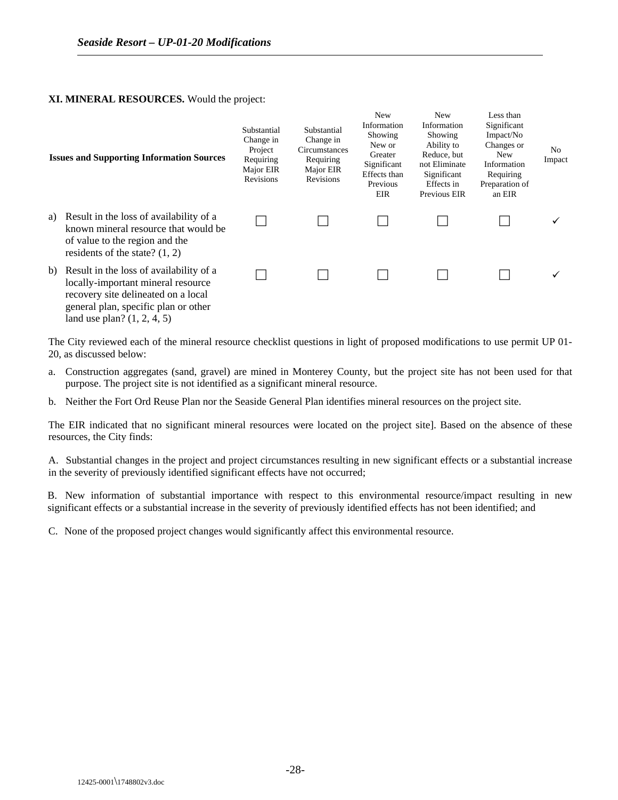## **XI. MINERAL RESOURCES.** Would the project:

| <b>Issues and Supporting Information Sources</b>                                                                                                                                                 | Substantial<br>Change in<br>Project<br>Requiring<br>Major EIR<br>Revisions | Substantial<br>Change in<br>Circumstances<br>Requiring<br>Major EIR<br><b>Revisions</b> | New<br>Information<br>Showing<br>New or<br>Greater<br>Significant<br>Effects than<br>Previous<br>EIR | <b>New</b><br>Information<br>Showing<br>Ability to<br>Reduce, but<br>not Eliminate<br>Significant<br>Effects in<br>Previous EIR | Less than<br>Significant<br>Impact/No<br>Changes or<br>New<br>Information<br>Requiring<br>Preparation of<br>an EIR | No<br>Impact |
|--------------------------------------------------------------------------------------------------------------------------------------------------------------------------------------------------|----------------------------------------------------------------------------|-----------------------------------------------------------------------------------------|------------------------------------------------------------------------------------------------------|---------------------------------------------------------------------------------------------------------------------------------|--------------------------------------------------------------------------------------------------------------------|--------------|
| a) Result in the loss of availability of a<br>known mineral resource that would be<br>of value to the region and the<br>residents of the state? $(1, 2)$                                         |                                                                            |                                                                                         |                                                                                                      |                                                                                                                                 |                                                                                                                    |              |
| b) Result in the loss of availability of a<br>locally-important mineral resource<br>recovery site delineated on a local<br>general plan, specific plan or other<br>land use plan? $(1, 2, 4, 5)$ |                                                                            |                                                                                         |                                                                                                      |                                                                                                                                 |                                                                                                                    |              |

The City reviewed each of the mineral resource checklist questions in light of proposed modifications to use permit UP 01- 20, as discussed below:

- a. Construction aggregates (sand, gravel) are mined in Monterey County, but the project site has not been used for that purpose. The project site is not identified as a significant mineral resource.
- b. Neither the Fort Ord Reuse Plan nor the Seaside General Plan identifies mineral resources on the project site.

The EIR indicated that no significant mineral resources were located on the project site]. Based on the absence of these resources, the City finds:

A. Substantial changes in the project and project circumstances resulting in new significant effects or a substantial increase in the severity of previously identified significant effects have not occurred;

B. New information of substantial importance with respect to this environmental resource/impact resulting in new significant effects or a substantial increase in the severity of previously identified effects has not been identified; and

C. None of the proposed project changes would significantly affect this environmental resource.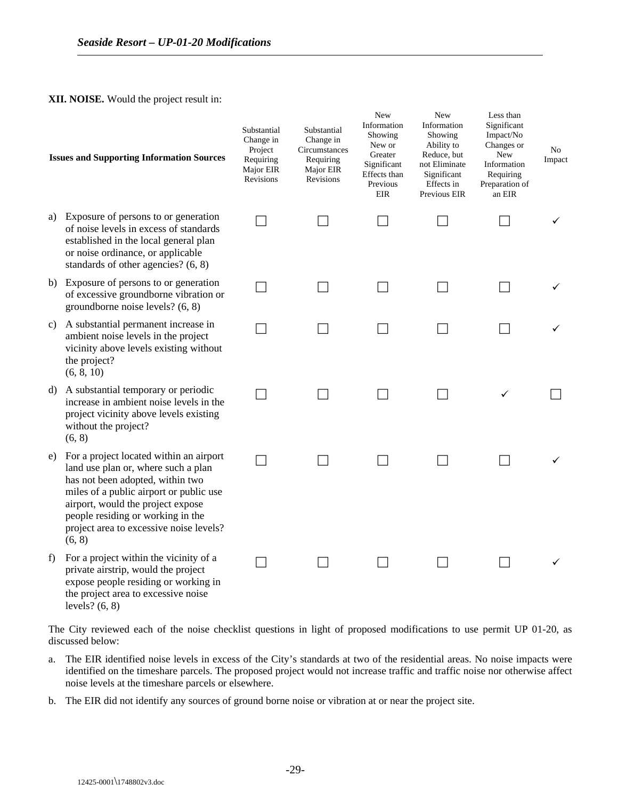### **XII. NOISE.** Would the project result in:

|    | <b>Issues and Supporting Information Sources</b>                                                                                                                                                                                                                                             | Substantial<br>Change in<br>Project<br>Requiring<br>Major EIR<br>Revisions | Substantial<br>Change in<br>Circumstances<br>Requiring<br>Major EIR<br><b>Revisions</b> | New<br>Information<br>Showing<br>New or<br>Greater<br>Significant<br>Effects than<br>Previous<br>EIR | New<br>Information<br>Showing<br>Ability to<br>Reduce, but<br>not Eliminate<br>Significant<br>Effects in<br>Previous EIR | Less than<br>Significant<br>Impact/No<br>Changes or<br>New<br>Information<br>Requiring<br>Preparation of<br>an EIR | No.<br>Impact |
|----|----------------------------------------------------------------------------------------------------------------------------------------------------------------------------------------------------------------------------------------------------------------------------------------------|----------------------------------------------------------------------------|-----------------------------------------------------------------------------------------|------------------------------------------------------------------------------------------------------|--------------------------------------------------------------------------------------------------------------------------|--------------------------------------------------------------------------------------------------------------------|---------------|
| a) | Exposure of persons to or generation<br>of noise levels in excess of standards<br>established in the local general plan<br>or noise ordinance, or applicable<br>standards of other agencies? $(6, 8)$                                                                                        |                                                                            |                                                                                         |                                                                                                      |                                                                                                                          |                                                                                                                    | ✓             |
| b) | Exposure of persons to or generation<br>of excessive groundborne vibration or<br>groundborne noise levels? (6, 8)                                                                                                                                                                            |                                                                            |                                                                                         |                                                                                                      |                                                                                                                          |                                                                                                                    |               |
| C) | A substantial permanent increase in<br>ambient noise levels in the project<br>vicinity above levels existing without<br>the project?<br>(6, 8, 10)                                                                                                                                           |                                                                            |                                                                                         |                                                                                                      |                                                                                                                          |                                                                                                                    |               |
| d) | A substantial temporary or periodic<br>increase in ambient noise levels in the<br>project vicinity above levels existing<br>without the project?<br>(6, 8)                                                                                                                                   |                                                                            |                                                                                         | $\sim$                                                                                               |                                                                                                                          | ✓                                                                                                                  |               |
| e) | For a project located within an airport<br>land use plan or, where such a plan<br>has not been adopted, within two<br>miles of a public airport or public use<br>airport, would the project expose<br>people residing or working in the<br>project area to excessive noise levels?<br>(6, 8) |                                                                            |                                                                                         |                                                                                                      |                                                                                                                          |                                                                                                                    |               |
| f) | For a project within the vicinity of a<br>private airstrip, would the project<br>expose people residing or working in<br>the project area to excessive noise<br>levels? $(6, 8)$                                                                                                             |                                                                            |                                                                                         |                                                                                                      |                                                                                                                          |                                                                                                                    |               |

The City reviewed each of the noise checklist questions in light of proposed modifications to use permit UP 01-20, as discussed below:

- a. The EIR identified noise levels in excess of the City's standards at two of the residential areas. No noise impacts were identified on the timeshare parcels. The proposed project would not increase traffic and traffic noise nor otherwise affect noise levels at the timeshare parcels or elsewhere.
- b. The EIR did not identify any sources of ground borne noise or vibration at or near the project site.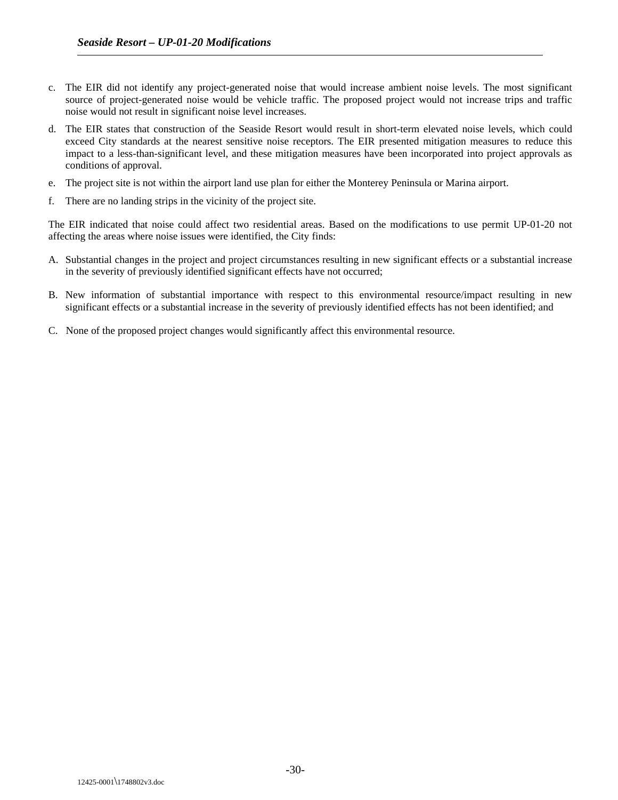- c. The EIR did not identify any project-generated noise that would increase ambient noise levels. The most significant source of project-generated noise would be vehicle traffic. The proposed project would not increase trips and traffic noise would not result in significant noise level increases.
- d. The EIR states that construction of the Seaside Resort would result in short-term elevated noise levels, which could exceed City standards at the nearest sensitive noise receptors. The EIR presented mitigation measures to reduce this impact to a less-than-significant level, and these mitigation measures have been incorporated into project approvals as conditions of approval.
- e. The project site is not within the airport land use plan for either the Monterey Peninsula or Marina airport.
- f. There are no landing strips in the vicinity of the project site.

The EIR indicated that noise could affect two residential areas. Based on the modifications to use permit UP-01-20 not affecting the areas where noise issues were identified, the City finds:

- A. Substantial changes in the project and project circumstances resulting in new significant effects or a substantial increase in the severity of previously identified significant effects have not occurred;
- B. New information of substantial importance with respect to this environmental resource/impact resulting in new significant effects or a substantial increase in the severity of previously identified effects has not been identified; and
- C. None of the proposed project changes would significantly affect this environmental resource.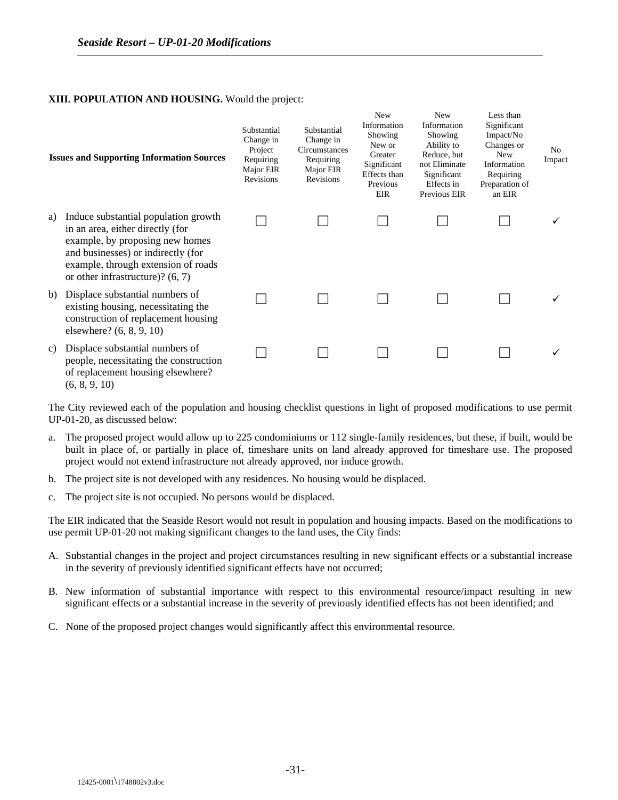## **XIII. POPULATION AND HOUSING.** Would the project:

|    | <b>Issues and Supporting Information Sources</b>                                                                                                                                                                               | Substantial<br>Change in<br>Project<br>Requiring<br>Major EIR<br>Revisions | Substantial<br>Change in<br>Circumstances<br>Requiring<br>Major EIR<br>Revisions | New<br>Information<br>Showing<br>New or<br>Greater<br>Significant<br>Effects than<br>Previous<br>EIR | New<br>Information<br>Showing<br>Ability to<br>Reduce, but<br>not Eliminate<br>Significant<br>Effects in<br>Previous EIR | Less than<br>Significant<br>Impact/No<br>Changes or<br><b>New</b><br>Information<br>Requiring<br>Preparation of<br>an EIR | No<br>Impact |
|----|--------------------------------------------------------------------------------------------------------------------------------------------------------------------------------------------------------------------------------|----------------------------------------------------------------------------|----------------------------------------------------------------------------------|------------------------------------------------------------------------------------------------------|--------------------------------------------------------------------------------------------------------------------------|---------------------------------------------------------------------------------------------------------------------------|--------------|
| a) | Induce substantial population growth<br>in an area, either directly (for<br>example, by proposing new homes<br>and businesses) or indirectly (for<br>example, through extension of roads<br>or other infrastructure)? $(6, 7)$ |                                                                            |                                                                                  |                                                                                                      |                                                                                                                          |                                                                                                                           |              |
| b) | Displace substantial numbers of<br>existing housing, necessitating the<br>construction of replacement housing<br>elsewhere? (6, 8, 9, 10)                                                                                      |                                                                            |                                                                                  |                                                                                                      |                                                                                                                          |                                                                                                                           |              |
| C) | Displace substantial numbers of<br>people, necessitating the construction<br>of replacement housing elsewhere?<br>(6, 8, 9, 10)                                                                                                |                                                                            |                                                                                  |                                                                                                      |                                                                                                                          |                                                                                                                           |              |

The City reviewed each of the population and housing checklist questions in light of proposed modifications to use permit UP-01-20, as discussed below:

- a. The proposed project would allow up to 225 condominiums or 112 single-family residences, but these, if built, would be built in place of, or partially in place of, timeshare units on land already approved for timeshare use. The proposed project would not extend infrastructure not already approved, nor induce growth.
- b. The project site is not developed with any residences. No housing would be displaced.
- c. The project site is not occupied. No persons would be displaced.

The EIR indicated that the Seaside Resort would not result in population and housing impacts. Based on the modifications to use permit UP-01-20 not making significant changes to the land uses, the City finds:

- A. Substantial changes in the project and project circumstances resulting in new significant effects or a substantial increase in the severity of previously identified significant effects have not occurred;
- B. New information of substantial importance with respect to this environmental resource/impact resulting in new significant effects or a substantial increase in the severity of previously identified effects has not been identified; and
- C. None of the proposed project changes would significantly affect this environmental resource.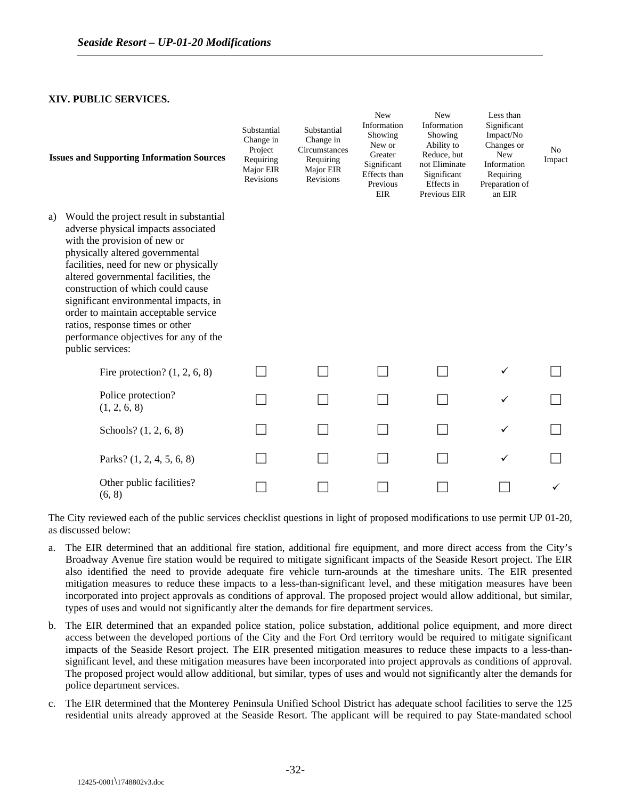### **XIV. PUBLIC SERVICES.**

|    | <b>Issues and Supporting Information Sources</b>                                                                                                                                                                                                                                                                                                                                                                                                          | Substantial<br>Change in<br>Project<br>Requiring<br>Major EIR<br>Revisions | Substantial<br>Change in<br>Circumstances<br>Requiring<br>Major EIR<br>Revisions | New<br>Information<br>Showing<br>New or<br>Greater<br>Significant<br>Effects than<br>Previous<br>EIR | New<br>Information<br>Showing<br>Ability to<br>Reduce, but<br>not Eliminate<br>Significant<br>Effects in<br>Previous EIR | Less than<br>Significant<br>Impact/No<br>Changes or<br><b>New</b><br>Information<br>Requiring<br>Preparation of<br>an EIR | N <sub>0</sub><br>Impact |
|----|-----------------------------------------------------------------------------------------------------------------------------------------------------------------------------------------------------------------------------------------------------------------------------------------------------------------------------------------------------------------------------------------------------------------------------------------------------------|----------------------------------------------------------------------------|----------------------------------------------------------------------------------|------------------------------------------------------------------------------------------------------|--------------------------------------------------------------------------------------------------------------------------|---------------------------------------------------------------------------------------------------------------------------|--------------------------|
| a) | Would the project result in substantial<br>adverse physical impacts associated<br>with the provision of new or<br>physically altered governmental<br>facilities, need for new or physically<br>altered governmental facilities, the<br>construction of which could cause<br>significant environmental impacts, in<br>order to maintain acceptable service<br>ratios, response times or other<br>performance objectives for any of the<br>public services: |                                                                            |                                                                                  |                                                                                                      |                                                                                                                          |                                                                                                                           |                          |
|    | Fire protection? $(1, 2, 6, 8)$                                                                                                                                                                                                                                                                                                                                                                                                                           |                                                                            |                                                                                  |                                                                                                      |                                                                                                                          | $\checkmark$                                                                                                              |                          |
|    | Police protection?<br>(1, 2, 6, 8)                                                                                                                                                                                                                                                                                                                                                                                                                        |                                                                            |                                                                                  |                                                                                                      |                                                                                                                          | $\checkmark$                                                                                                              |                          |
|    | Schools? (1, 2, 6, 8)                                                                                                                                                                                                                                                                                                                                                                                                                                     |                                                                            |                                                                                  |                                                                                                      |                                                                                                                          | $\checkmark$                                                                                                              |                          |
|    | Parks? $(1, 2, 4, 5, 6, 8)$                                                                                                                                                                                                                                                                                                                                                                                                                               |                                                                            |                                                                                  |                                                                                                      |                                                                                                                          | $\checkmark$                                                                                                              |                          |
|    | Other public facilities?<br>(6, 8)                                                                                                                                                                                                                                                                                                                                                                                                                        |                                                                            |                                                                                  |                                                                                                      |                                                                                                                          |                                                                                                                           |                          |

The City reviewed each of the public services checklist questions in light of proposed modifications to use permit UP 01-20, as discussed below:

- a. The EIR determined that an additional fire station, additional fire equipment, and more direct access from the City's Broadway Avenue fire station would be required to mitigate significant impacts of the Seaside Resort project. The EIR also identified the need to provide adequate fire vehicle turn-arounds at the timeshare units. The EIR presented mitigation measures to reduce these impacts to a less-than-significant level, and these mitigation measures have been incorporated into project approvals as conditions of approval. The proposed project would allow additional, but similar, types of uses and would not significantly alter the demands for fire department services.
- b. The EIR determined that an expanded police station, police substation, additional police equipment, and more direct access between the developed portions of the City and the Fort Ord territory would be required to mitigate significant impacts of the Seaside Resort project. The EIR presented mitigation measures to reduce these impacts to a less-thansignificant level, and these mitigation measures have been incorporated into project approvals as conditions of approval. The proposed project would allow additional, but similar, types of uses and would not significantly alter the demands for police department services.
- c. The EIR determined that the Monterey Peninsula Unified School District has adequate school facilities to serve the 125 residential units already approved at the Seaside Resort. The applicant will be required to pay State-mandated school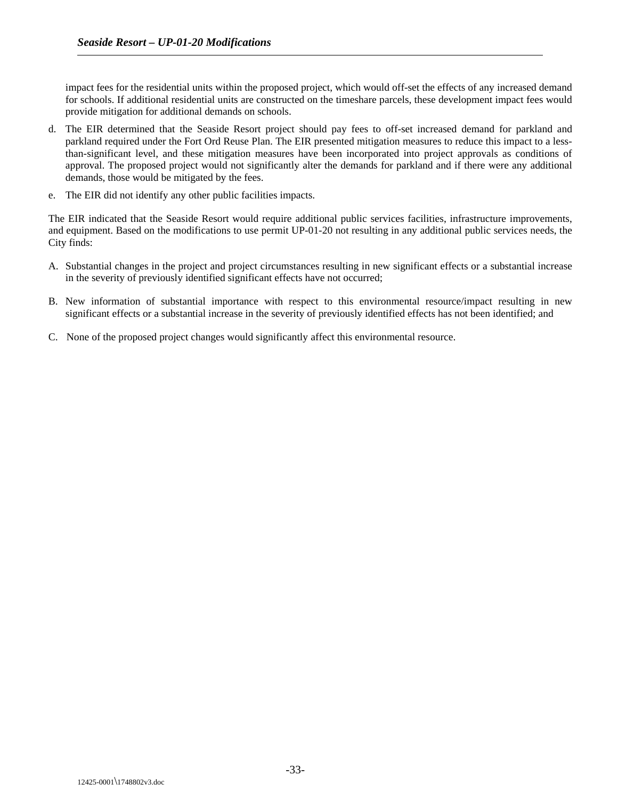impact fees for the residential units within the proposed project, which would off-set the effects of any increased demand for schools. If additional residential units are constructed on the timeshare parcels, these development impact fees would provide mitigation for additional demands on schools.

- d. The EIR determined that the Seaside Resort project should pay fees to off-set increased demand for parkland and parkland required under the Fort Ord Reuse Plan. The EIR presented mitigation measures to reduce this impact to a lessthan-significant level, and these mitigation measures have been incorporated into project approvals as conditions of approval. The proposed project would not significantly alter the demands for parkland and if there were any additional demands, those would be mitigated by the fees.
- e. The EIR did not identify any other public facilities impacts.

The EIR indicated that the Seaside Resort would require additional public services facilities, infrastructure improvements, and equipment. Based on the modifications to use permit UP-01-20 not resulting in any additional public services needs, the City finds:

- A. Substantial changes in the project and project circumstances resulting in new significant effects or a substantial increase in the severity of previously identified significant effects have not occurred;
- B. New information of substantial importance with respect to this environmental resource/impact resulting in new significant effects or a substantial increase in the severity of previously identified effects has not been identified; and
- C. None of the proposed project changes would significantly affect this environmental resource.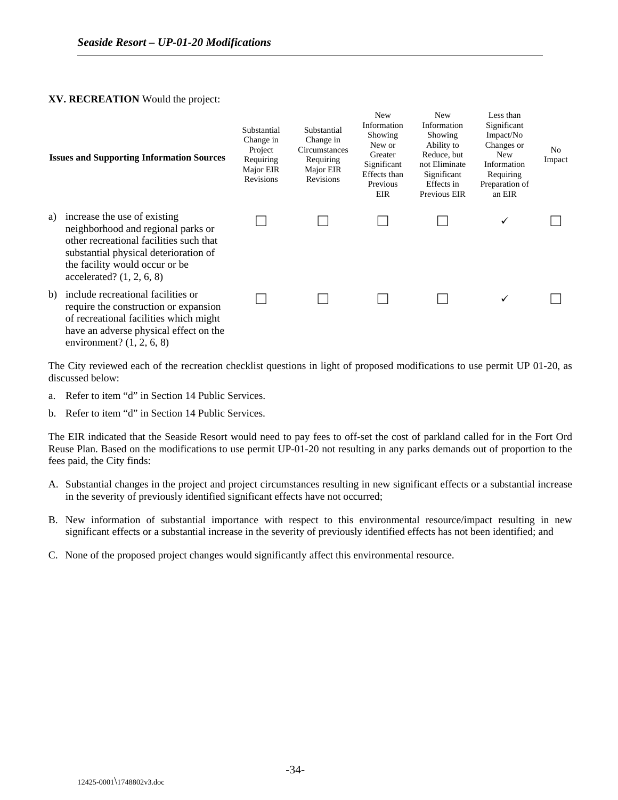### **XV. RECREATION** Would the project:

| <b>Issues and Supporting Information Sources</b>                                                                                                                                                                            | Substantial<br>Change in<br>Project<br>Requiring<br>Major EIR<br><b>Revisions</b> | Substantial<br>Change in<br>Circumstances<br>Requiring<br>Major EIR<br>Revisions | <b>New</b><br>Information<br>Showing<br>New or<br>Greater<br>Significant<br>Effects than<br>Previous<br>EIR | <b>New</b><br>Information<br>Showing<br>Ability to<br>Reduce, but<br>not Eliminate<br>Significant<br>Effects in<br>Previous EIR | Less than<br>Significant<br>Impact/No<br>Changes or<br>New<br>Information<br>Requiring<br>Preparation of<br>an EIR | No<br>Impact |
|-----------------------------------------------------------------------------------------------------------------------------------------------------------------------------------------------------------------------------|-----------------------------------------------------------------------------------|----------------------------------------------------------------------------------|-------------------------------------------------------------------------------------------------------------|---------------------------------------------------------------------------------------------------------------------------------|--------------------------------------------------------------------------------------------------------------------|--------------|
| a) increase the use of existing<br>neighborhood and regional parks or<br>other recreational facilities such that<br>substantial physical deterioration of<br>the facility would occur or be.<br>accelerated? $(1, 2, 6, 8)$ |                                                                                   |                                                                                  |                                                                                                             |                                                                                                                                 | ✓                                                                                                                  |              |
| b) include recreational facilities or<br>require the construction or expansion<br>of recreational facilities which might<br>have an adverse physical effect on the<br>environment? $(1, 2, 6, 8)$                           |                                                                                   |                                                                                  |                                                                                                             |                                                                                                                                 | ✓                                                                                                                  |              |

The City reviewed each of the recreation checklist questions in light of proposed modifications to use permit UP 01-20, as discussed below:

- a. Refer to item "d" in Section 14 Public Services.
- b. Refer to item "d" in Section 14 Public Services.

The EIR indicated that the Seaside Resort would need to pay fees to off-set the cost of parkland called for in the Fort Ord Reuse Plan. Based on the modifications to use permit UP-01-20 not resulting in any parks demands out of proportion to the fees paid, the City finds:

- A. Substantial changes in the project and project circumstances resulting in new significant effects or a substantial increase in the severity of previously identified significant effects have not occurred;
- B. New information of substantial importance with respect to this environmental resource/impact resulting in new significant effects or a substantial increase in the severity of previously identified effects has not been identified; and
- C. None of the proposed project changes would significantly affect this environmental resource.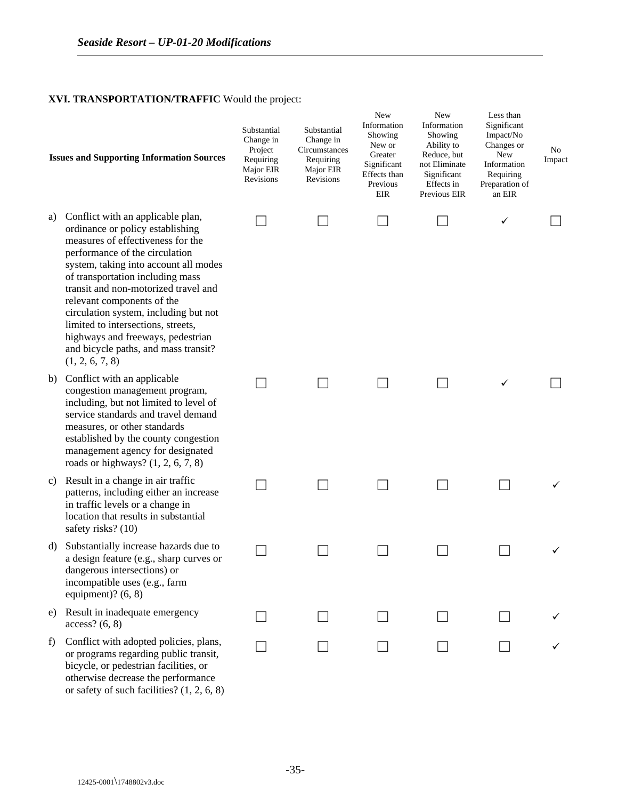## **XVI. TRANSPORTATION/TRAFFIC** Would the project:

|    | <b>Issues and Supporting Information Sources</b>                                                                                                                                                                                                                                                                                                                                                                                                                               | Substantial<br>Change in<br>Project<br>Requiring<br>Major EIR<br>Revisions | Substantial<br>Change in<br>Circumstances<br>Requiring<br>Major EIR<br><b>Revisions</b> | New<br>Information<br>Showing<br>New or<br>Greater<br>Significant<br>Effects than<br>Previous<br>EIR | New<br>Information<br>Showing<br>Ability to<br>Reduce, but<br>not Eliminate<br>Significant<br>Effects in<br>Previous EIR | Less than<br>Significant<br>Impact/No<br>Changes or<br>New<br>Information<br>Requiring<br>Preparation of<br>an EIR | No<br>Impact |
|----|--------------------------------------------------------------------------------------------------------------------------------------------------------------------------------------------------------------------------------------------------------------------------------------------------------------------------------------------------------------------------------------------------------------------------------------------------------------------------------|----------------------------------------------------------------------------|-----------------------------------------------------------------------------------------|------------------------------------------------------------------------------------------------------|--------------------------------------------------------------------------------------------------------------------------|--------------------------------------------------------------------------------------------------------------------|--------------|
| a) | Conflict with an applicable plan,<br>ordinance or policy establishing<br>measures of effectiveness for the<br>performance of the circulation<br>system, taking into account all modes<br>of transportation including mass<br>transit and non-motorized travel and<br>relevant components of the<br>circulation system, including but not<br>limited to intersections, streets,<br>highways and freeways, pedestrian<br>and bicycle paths, and mass transit?<br>(1, 2, 6, 7, 8) |                                                                            |                                                                                         |                                                                                                      |                                                                                                                          | ✓                                                                                                                  |              |
| b) | Conflict with an applicable<br>congestion management program,<br>including, but not limited to level of<br>service standards and travel demand<br>measures, or other standards<br>established by the county congestion<br>management agency for designated<br>roads or highways? $(1, 2, 6, 7, 8)$                                                                                                                                                                             |                                                                            |                                                                                         |                                                                                                      |                                                                                                                          | ✓                                                                                                                  |              |
| C) | Result in a change in air traffic<br>patterns, including either an increase<br>in traffic levels or a change in<br>location that results in substantial<br>safety risks? (10)                                                                                                                                                                                                                                                                                                  |                                                                            |                                                                                         |                                                                                                      |                                                                                                                          |                                                                                                                    |              |
| d) | Substantially increase hazards due to<br>a design feature (e.g., sharp curves or<br>dangerous intersections) or<br>incompatible uses (e.g., farm<br>equipment)? $(6, 8)$                                                                                                                                                                                                                                                                                                       |                                                                            |                                                                                         |                                                                                                      |                                                                                                                          |                                                                                                                    |              |
| e) | Result in inadequate emergency<br>access? (6, 8)                                                                                                                                                                                                                                                                                                                                                                                                                               |                                                                            |                                                                                         |                                                                                                      |                                                                                                                          |                                                                                                                    |              |
| f) | Conflict with adopted policies, plans,<br>or programs regarding public transit,<br>bicycle, or pedestrian facilities, or<br>otherwise decrease the performance<br>or safety of such facilities? $(1, 2, 6, 8)$                                                                                                                                                                                                                                                                 |                                                                            |                                                                                         |                                                                                                      |                                                                                                                          |                                                                                                                    |              |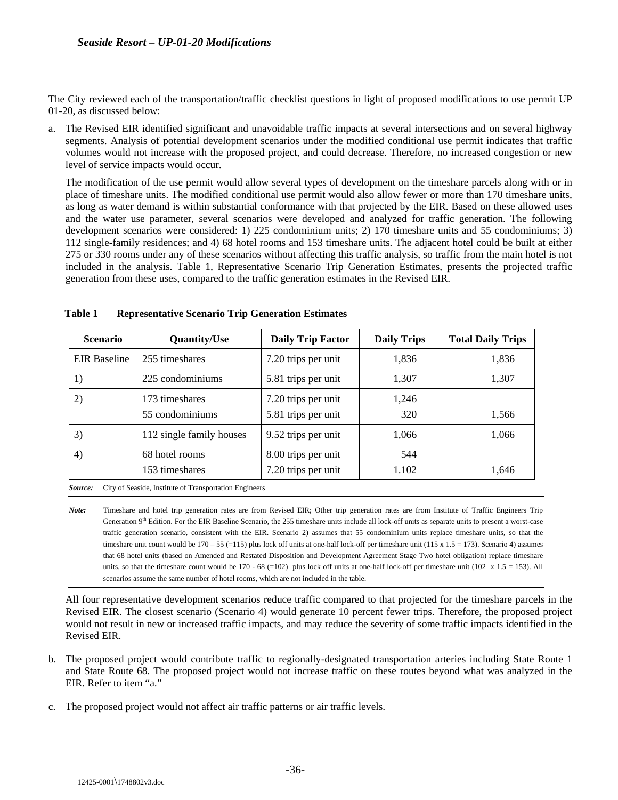The City reviewed each of the transportation/traffic checklist questions in light of proposed modifications to use permit UP 01-20, as discussed below:

a. The Revised EIR identified significant and unavoidable traffic impacts at several intersections and on several highway segments. Analysis of potential development scenarios under the modified conditional use permit indicates that traffic volumes would not increase with the proposed project, and could decrease. Therefore, no increased congestion or new level of service impacts would occur.

 The modification of the use permit would allow several types of development on the timeshare parcels along with or in place of timeshare units. The modified conditional use permit would also allow fewer or more than 170 timeshare units, as long as water demand is within substantial conformance with that projected by the EIR. Based on these allowed uses and the water use parameter, several scenarios were developed and analyzed for traffic generation. The following development scenarios were considered: 1) 225 condominium units; 2) 170 timeshare units and 55 condominiums; 3) 112 single-family residences; and 4) 68 hotel rooms and 153 timeshare units. The adjacent hotel could be built at either 275 or 330 rooms under any of these scenarios without affecting this traffic analysis, so traffic from the main hotel is not included in the analysis. Table 1, Representative Scenario Trip Generation Estimates, presents the projected traffic generation from these uses, compared to the traffic generation estimates in the Revised EIR.

| <b>Scenario</b>     | <b>Quantity/Use</b>      | <b>Daily Trip Factor</b> | <b>Daily Trips</b> | <b>Total Daily Trips</b> |
|---------------------|--------------------------|--------------------------|--------------------|--------------------------|
| <b>EIR</b> Baseline | 255 timeshares           | 7.20 trips per unit      | 1,836              | 1,836                    |
| 1)                  | 225 condominiums         | 5.81 trips per unit      | 1,307              | 1,307                    |
| 2)                  | 173 timeshares           | 7.20 trips per unit      | 1,246              |                          |
|                     | 55 condominiums          | 5.81 trips per unit      | 320                | 1,566                    |
| 3)                  | 112 single family houses | 9.52 trips per unit      | 1,066              | 1,066                    |
| 4)                  | 68 hotel rooms           | 8.00 trips per unit      | 544                |                          |
|                     | 153 timeshares           | 7.20 trips per unit      | 1.102              | 1,646                    |

#### **Table 1 Representative Scenario Trip Generation Estimates**

*Source:* City of Seaside, Institute of Transportation Engineers

*Note:* Timeshare and hotel trip generation rates are from Revised EIR; Other trip generation rates are from Institute of Traffic Engineers Trip Generation 9<sup>th</sup> Edition. For the EIR Baseline Scenario, the 255 timeshare units include all lock-off units as separate units to present a worst-case traffic generation scenario, consistent with the EIR. Scenario 2) assumes that 55 condominium units replace timeshare units, so that the timeshare unit count would be  $170 - 55$  (=115) plus lock off units at one-half lock-off per timeshare unit (115 x 1.5 = 173). Scenario 4) assumes that 68 hotel units (based on Amended and Restated Disposition and Development Agreement Stage Two hotel obligation) replace timeshare units, so that the timeshare count would be 170 - 68 (=102) plus lock off units at one-half lock-off per timeshare unit (102 x 1.5 = 153). All scenarios assume the same number of hotel rooms, which are not included in the table.

 All four representative development scenarios reduce traffic compared to that projected for the timeshare parcels in the Revised EIR. The closest scenario (Scenario 4) would generate 10 percent fewer trips. Therefore, the proposed project would not result in new or increased traffic impacts, and may reduce the severity of some traffic impacts identified in the Revised EIR.

- b. The proposed project would contribute traffic to regionally-designated transportation arteries including State Route 1 and State Route 68. The proposed project would not increase traffic on these routes beyond what was analyzed in the EIR. Refer to item "a."
- c. The proposed project would not affect air traffic patterns or air traffic levels.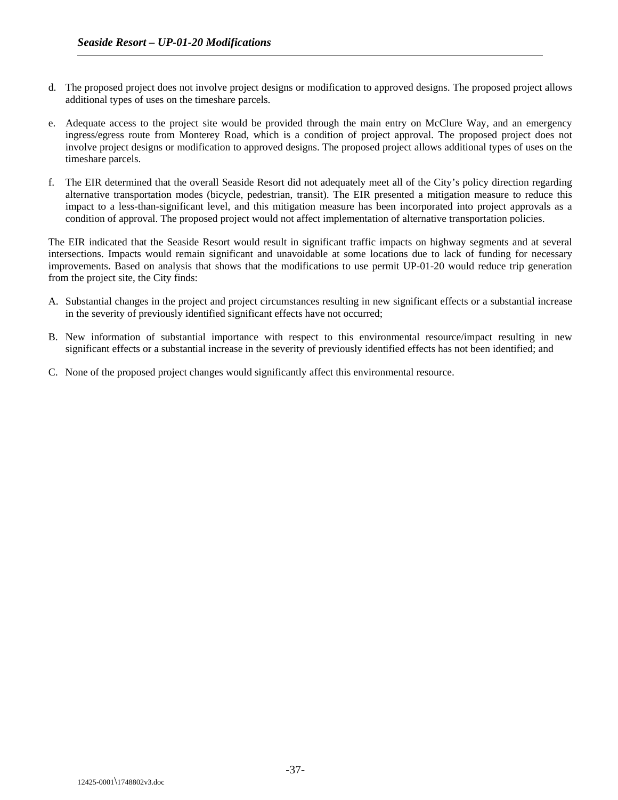- d. The proposed project does not involve project designs or modification to approved designs. The proposed project allows additional types of uses on the timeshare parcels.
- e. Adequate access to the project site would be provided through the main entry on McClure Way, and an emergency ingress/egress route from Monterey Road, which is a condition of project approval. The proposed project does not involve project designs or modification to approved designs. The proposed project allows additional types of uses on the timeshare parcels.
- f. The EIR determined that the overall Seaside Resort did not adequately meet all of the City's policy direction regarding alternative transportation modes (bicycle, pedestrian, transit). The EIR presented a mitigation measure to reduce this impact to a less-than-significant level, and this mitigation measure has been incorporated into project approvals as a condition of approval. The proposed project would not affect implementation of alternative transportation policies.

The EIR indicated that the Seaside Resort would result in significant traffic impacts on highway segments and at several intersections. Impacts would remain significant and unavoidable at some locations due to lack of funding for necessary improvements. Based on analysis that shows that the modifications to use permit UP-01-20 would reduce trip generation from the project site, the City finds:

- A. Substantial changes in the project and project circumstances resulting in new significant effects or a substantial increase in the severity of previously identified significant effects have not occurred;
- B. New information of substantial importance with respect to this environmental resource/impact resulting in new significant effects or a substantial increase in the severity of previously identified effects has not been identified; and
- C. None of the proposed project changes would significantly affect this environmental resource.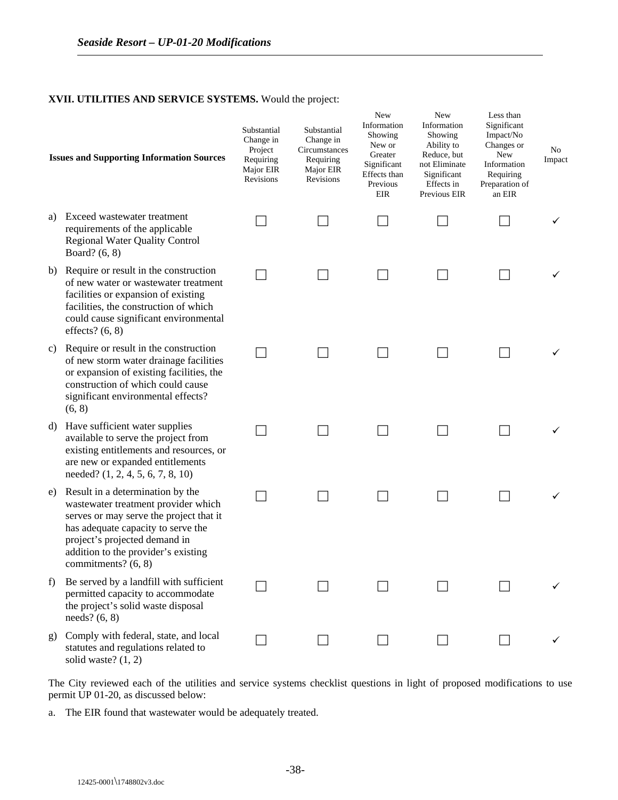## **XVII. UTILITIES AND SERVICE SYSTEMS.** Would the project:

|    | <b>Issues and Supporting Information Sources</b>                                                                                                                                                                                                        | Substantial<br>Change in<br>Project<br>Requiring<br>Major EIR<br>Revisions | Substantial<br>Change in<br>Circumstances<br>Requiring<br>Major EIR<br>Revisions | <b>New</b><br>Information<br>Showing<br>New or<br>Greater<br>Significant<br>Effects than<br>Previous<br>EIR | New<br>Information<br>Showing<br>Ability to<br>Reduce, but<br>not Eliminate<br>Significant<br>Effects in<br>Previous EIR | Less than<br>Significant<br>Impact/No<br>Changes or<br>New<br>Information<br>Requiring<br>Preparation of<br>an EIR | No<br>Impact |
|----|---------------------------------------------------------------------------------------------------------------------------------------------------------------------------------------------------------------------------------------------------------|----------------------------------------------------------------------------|----------------------------------------------------------------------------------|-------------------------------------------------------------------------------------------------------------|--------------------------------------------------------------------------------------------------------------------------|--------------------------------------------------------------------------------------------------------------------|--------------|
| a) | Exceed wastewater treatment<br>requirements of the applicable<br><b>Regional Water Quality Control</b><br>Board? $(6, 8)$                                                                                                                               |                                                                            |                                                                                  |                                                                                                             |                                                                                                                          |                                                                                                                    | ✓            |
| b) | Require or result in the construction<br>of new water or wastewater treatment<br>facilities or expansion of existing<br>facilities, the construction of which<br>could cause significant environmental<br>effects? $(6, 8)$                             |                                                                            |                                                                                  | $\sim$                                                                                                      |                                                                                                                          |                                                                                                                    |              |
| C) | Require or result in the construction<br>of new storm water drainage facilities<br>or expansion of existing facilities, the<br>construction of which could cause<br>significant environmental effects?<br>(6, 8)                                        |                                                                            |                                                                                  |                                                                                                             |                                                                                                                          |                                                                                                                    |              |
| d) | Have sufficient water supplies<br>available to serve the project from<br>existing entitlements and resources, or<br>are new or expanded entitlements<br>needed? (1, 2, 4, 5, 6, 7, 8, 10)                                                               |                                                                            |                                                                                  |                                                                                                             |                                                                                                                          |                                                                                                                    | ✓            |
| e) | Result in a determination by the<br>wastewater treatment provider which<br>serves or may serve the project that it<br>has adequate capacity to serve the<br>project's projected demand in<br>addition to the provider's existing<br>commitments? (6, 8) |                                                                            |                                                                                  |                                                                                                             |                                                                                                                          |                                                                                                                    |              |
| f) | Be served by a landfill with sufficient<br>permitted capacity to accommodate<br>the project's solid waste disposal<br>needs? $(6, 8)$                                                                                                                   |                                                                            |                                                                                  |                                                                                                             |                                                                                                                          |                                                                                                                    |              |
| g) | Comply with federal, state, and local<br>statutes and regulations related to<br>solid waste? $(1, 2)$                                                                                                                                                   |                                                                            |                                                                                  |                                                                                                             |                                                                                                                          |                                                                                                                    |              |

The City reviewed each of the utilities and service systems checklist questions in light of proposed modifications to use permit UP 01-20, as discussed below:

a. The EIR found that wastewater would be adequately treated.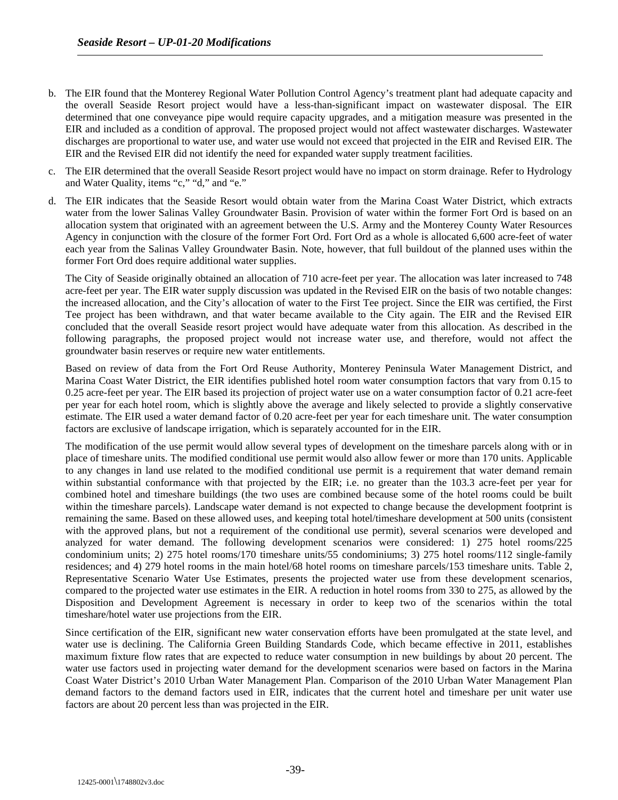- b. The EIR found that the Monterey Regional Water Pollution Control Agency's treatment plant had adequate capacity and the overall Seaside Resort project would have a less-than-significant impact on wastewater disposal. The EIR determined that one conveyance pipe would require capacity upgrades, and a mitigation measure was presented in the EIR and included as a condition of approval. The proposed project would not affect wastewater discharges. Wastewater discharges are proportional to water use, and water use would not exceed that projected in the EIR and Revised EIR. The EIR and the Revised EIR did not identify the need for expanded water supply treatment facilities.
- c. The EIR determined that the overall Seaside Resort project would have no impact on storm drainage. Refer to Hydrology and Water Quality, items "c," "d," and "e."
- d. The EIR indicates that the Seaside Resort would obtain water from the Marina Coast Water District, which extracts water from the lower Salinas Valley Groundwater Basin. Provision of water within the former Fort Ord is based on an allocation system that originated with an agreement between the U.S. Army and the Monterey County Water Resources Agency in conjunction with the closure of the former Fort Ord. Fort Ord as a whole is allocated 6,600 acre-feet of water each year from the Salinas Valley Groundwater Basin. Note, however, that full buildout of the planned uses within the former Fort Ord does require additional water supplies.

 The City of Seaside originally obtained an allocation of 710 acre-feet per year. The allocation was later increased to 748 acre-feet per year. The EIR water supply discussion was updated in the Revised EIR on the basis of two notable changes: the increased allocation, and the City's allocation of water to the First Tee project. Since the EIR was certified, the First Tee project has been withdrawn, and that water became available to the City again. The EIR and the Revised EIR concluded that the overall Seaside resort project would have adequate water from this allocation. As described in the following paragraphs, the proposed project would not increase water use, and therefore, would not affect the groundwater basin reserves or require new water entitlements.

 Based on review of data from the Fort Ord Reuse Authority, Monterey Peninsula Water Management District, and Marina Coast Water District, the EIR identifies published hotel room water consumption factors that vary from 0.15 to 0.25 acre-feet per year. The EIR based its projection of project water use on a water consumption factor of 0.21 acre-feet per year for each hotel room, which is slightly above the average and likely selected to provide a slightly conservative estimate. The EIR used a water demand factor of 0.20 acre-feet per year for each timeshare unit. The water consumption factors are exclusive of landscape irrigation, which is separately accounted for in the EIR.

 The modification of the use permit would allow several types of development on the timeshare parcels along with or in place of timeshare units. The modified conditional use permit would also allow fewer or more than 170 units. Applicable to any changes in land use related to the modified conditional use permit is a requirement that water demand remain within substantial conformance with that projected by the EIR; i.e. no greater than the 103.3 acre-feet per year for combined hotel and timeshare buildings (the two uses are combined because some of the hotel rooms could be built within the timeshare parcels). Landscape water demand is not expected to change because the development footprint is remaining the same. Based on these allowed uses, and keeping total hotel/timeshare development at 500 units (consistent with the approved plans, but not a requirement of the conditional use permit), several scenarios were developed and analyzed for water demand. The following development scenarios were considered: 1) 275 hotel rooms/225 condominium units; 2) 275 hotel rooms/170 timeshare units/55 condominiums; 3) 275 hotel rooms/112 single-family residences; and 4) 279 hotel rooms in the main hotel/68 hotel rooms on timeshare parcels/153 timeshare units. Table 2, Representative Scenario Water Use Estimates, presents the projected water use from these development scenarios, compared to the projected water use estimates in the EIR. A reduction in hotel rooms from 330 to 275, as allowed by the Disposition and Development Agreement is necessary in order to keep two of the scenarios within the total timeshare/hotel water use projections from the EIR.

 Since certification of the EIR, significant new water conservation efforts have been promulgated at the state level, and water use is declining. The California Green Building Standards Code, which became effective in 2011, establishes maximum fixture flow rates that are expected to reduce water consumption in new buildings by about 20 percent. The water use factors used in projecting water demand for the development scenarios were based on factors in the Marina Coast Water District's 2010 Urban Water Management Plan. Comparison of the 2010 Urban Water Management Plan demand factors to the demand factors used in EIR, indicates that the current hotel and timeshare per unit water use factors are about 20 percent less than was projected in the EIR.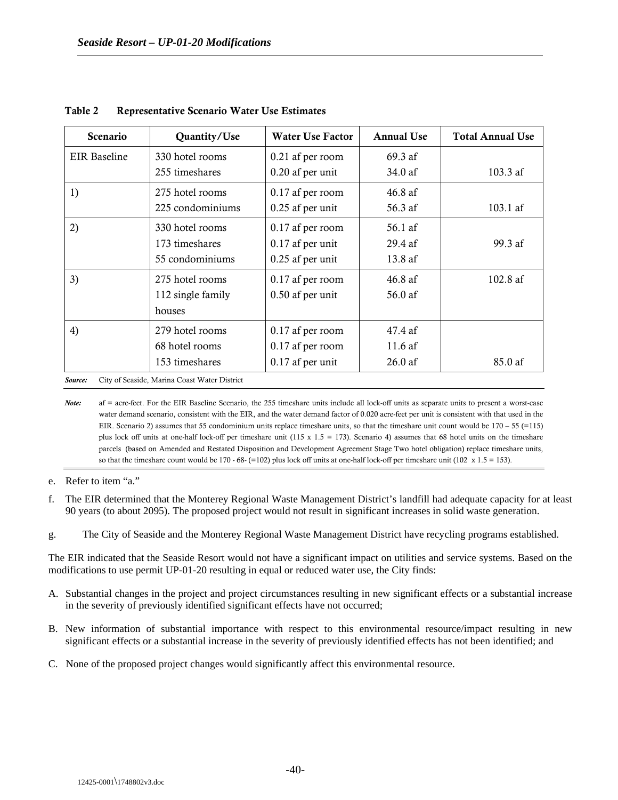| <b>Scenario</b> | Quantity/Use      | <b>Water Use Factor</b> | <b>Annual Use</b> | <b>Total Annual Use</b> |
|-----------------|-------------------|-------------------------|-------------------|-------------------------|
| EIR Baseline    | 330 hotel rooms   | 0.21 af per room        | $69.3$ af         |                         |
|                 | 255 timeshares    | 0.20 af per unit        | 34.0 af           | $103.3$ af              |
| 1)              | 275 hotel rooms   | 0.17 af per room        | $46.8$ af         |                         |
|                 | 225 condominiums  | 0.25 af per unit        | 56.3 af           | $103.1$ af              |
| 2)              | 330 hotel rooms   | 0.17 af per room        | 56.1 af           |                         |
|                 | 173 timeshares    | $0.17$ af per unit      | $29.4$ af         | 99.3 af                 |
|                 | 55 condominiums   | $0.25$ af per unit      | 13.8 af           |                         |
| 3)              | 275 hotel rooms   | 0.17 af per room        | $46.8$ af         | $102.8$ af              |
|                 | 112 single family | $0.50$ af per unit      | 56.0 af           |                         |
|                 | houses            |                         |                   |                         |
| 4)              | 279 hotel rooms   | 0.17 af per room        | 47.4 af           |                         |
|                 | 68 hotel rooms    | 0.17 af per room        | $11.6$ af         |                         |
|                 | 153 timeshares    | $0.17$ af per unit      | 26.0af            | 85.0 af                 |

Table 2 Representative Scenario Water Use Estimates

*Source:* City of Seaside, Marina Coast Water District

*Note:* af = acre-feet. For the EIR Baseline Scenario, the 255 timeshare units include all lock-off units as separate units to present a worst-case water demand scenario, consistent with the EIR, and the water demand factor of 0.020 acre-feet per unit is consistent with that used in the EIR. Scenario 2) assumes that 55 condominium units replace timeshare units, so that the timeshare unit count would be  $170 - 55$  (=115) plus lock off units at one-half lock-off per timeshare unit (115 x 1.5 = 173). Scenario 4) assumes that 68 hotel units on the timeshare parcels (based on Amended and Restated Disposition and Development Agreement Stage Two hotel obligation) replace timeshare units, so that the timeshare count would be 170 - 68- (=102) plus lock off units at one-half lock-off per timeshare unit (102  $\times$  1.5 = 153).

- e. Refer to item "a."
- f. The EIR determined that the Monterey Regional Waste Management District's landfill had adequate capacity for at least 90 years (to about 2095). The proposed project would not result in significant increases in solid waste generation.
- g. The City of Seaside and the Monterey Regional Waste Management District have recycling programs established.

The EIR indicated that the Seaside Resort would not have a significant impact on utilities and service systems. Based on the modifications to use permit UP-01-20 resulting in equal or reduced water use, the City finds:

- A. Substantial changes in the project and project circumstances resulting in new significant effects or a substantial increase in the severity of previously identified significant effects have not occurred;
- B. New information of substantial importance with respect to this environmental resource/impact resulting in new significant effects or a substantial increase in the severity of previously identified effects has not been identified; and
- C. None of the proposed project changes would significantly affect this environmental resource.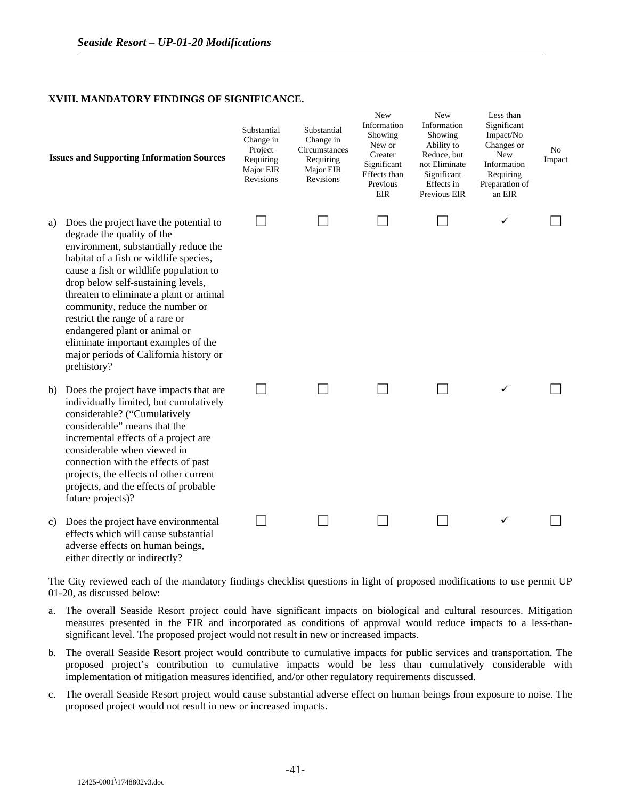## **XVIII. MANDATORY FINDINGS OF SIGNIFICANCE.**

|    | <b>Issues and Supporting Information Sources</b>                                                                                                                                                                                                                                                                                                                                                                                                                                          | Substantial<br>Change in<br>Project<br>Requiring<br>Major EIR<br>Revisions | Substantial<br>Change in<br>Circumstances<br>Requiring<br>Major EIR<br>Revisions | New<br>Information<br>Showing<br>New or<br>Greater<br>Significant<br>Effects than<br>Previous<br>EIR | New<br>Information<br>Showing<br>Ability to<br>Reduce, but<br>not Eliminate<br>Significant<br>Effects in<br>Previous EIR | Less than<br>Significant<br>Impact/No<br>Changes or<br>New<br>Information<br>Requiring<br>Preparation of<br>an EIR | No<br>Impact |
|----|-------------------------------------------------------------------------------------------------------------------------------------------------------------------------------------------------------------------------------------------------------------------------------------------------------------------------------------------------------------------------------------------------------------------------------------------------------------------------------------------|----------------------------------------------------------------------------|----------------------------------------------------------------------------------|------------------------------------------------------------------------------------------------------|--------------------------------------------------------------------------------------------------------------------------|--------------------------------------------------------------------------------------------------------------------|--------------|
| a) | Does the project have the potential to<br>degrade the quality of the<br>environment, substantially reduce the<br>habitat of a fish or wildlife species,<br>cause a fish or wildlife population to<br>drop below self-sustaining levels,<br>threaten to eliminate a plant or animal<br>community, reduce the number or<br>restrict the range of a rare or<br>endangered plant or animal or<br>eliminate important examples of the<br>major periods of California history or<br>prehistory? |                                                                            |                                                                                  |                                                                                                      |                                                                                                                          | ✓                                                                                                                  |              |
| b) | Does the project have impacts that are<br>individually limited, but cumulatively<br>considerable? ("Cumulatively<br>considerable" means that the<br>incremental effects of a project are<br>considerable when viewed in<br>connection with the effects of past<br>projects, the effects of other current<br>projects, and the effects of probable<br>future projects)?                                                                                                                    |                                                                            |                                                                                  |                                                                                                      |                                                                                                                          | ✓                                                                                                                  |              |
|    | c) Does the project have environmental<br>effects which will cause substantial<br>adverse effects on human beings,<br>either directly or indirectly?                                                                                                                                                                                                                                                                                                                                      |                                                                            |                                                                                  |                                                                                                      |                                                                                                                          | ✓                                                                                                                  |              |

The City reviewed each of the mandatory findings checklist questions in light of proposed modifications to use permit UP 01-20, as discussed below:

- a. The overall Seaside Resort project could have significant impacts on biological and cultural resources. Mitigation measures presented in the EIR and incorporated as conditions of approval would reduce impacts to a less-thansignificant level. The proposed project would not result in new or increased impacts.
- b. The overall Seaside Resort project would contribute to cumulative impacts for public services and transportation. The proposed project's contribution to cumulative impacts would be less than cumulatively considerable with implementation of mitigation measures identified, and/or other regulatory requirements discussed.
- c. The overall Seaside Resort project would cause substantial adverse effect on human beings from exposure to noise. The proposed project would not result in new or increased impacts.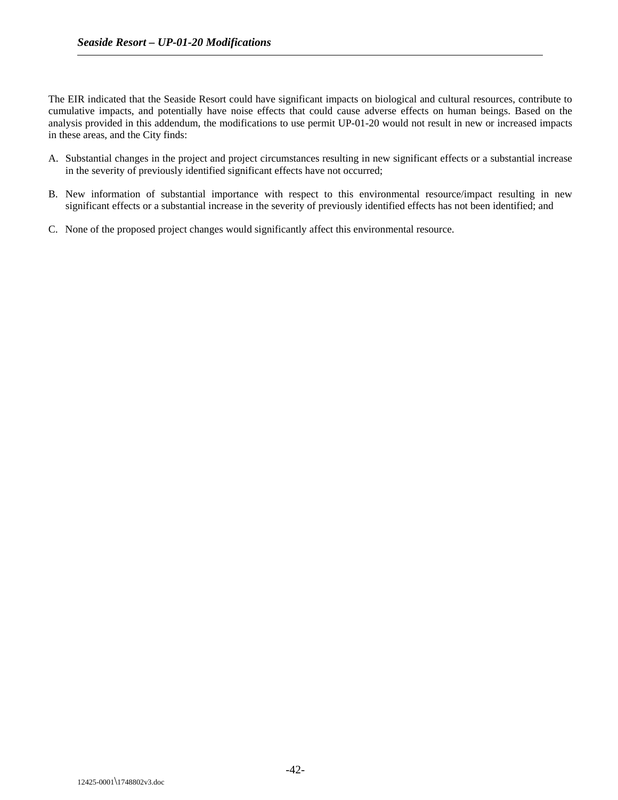The EIR indicated that the Seaside Resort could have significant impacts on biological and cultural resources, contribute to cumulative impacts, and potentially have noise effects that could cause adverse effects on human beings. Based on the analysis provided in this addendum, the modifications to use permit UP-01-20 would not result in new or increased impacts in these areas, and the City finds:

- A. Substantial changes in the project and project circumstances resulting in new significant effects or a substantial increase in the severity of previously identified significant effects have not occurred;
- B. New information of substantial importance with respect to this environmental resource/impact resulting in new significant effects or a substantial increase in the severity of previously identified effects has not been identified; and
- C. None of the proposed project changes would significantly affect this environmental resource.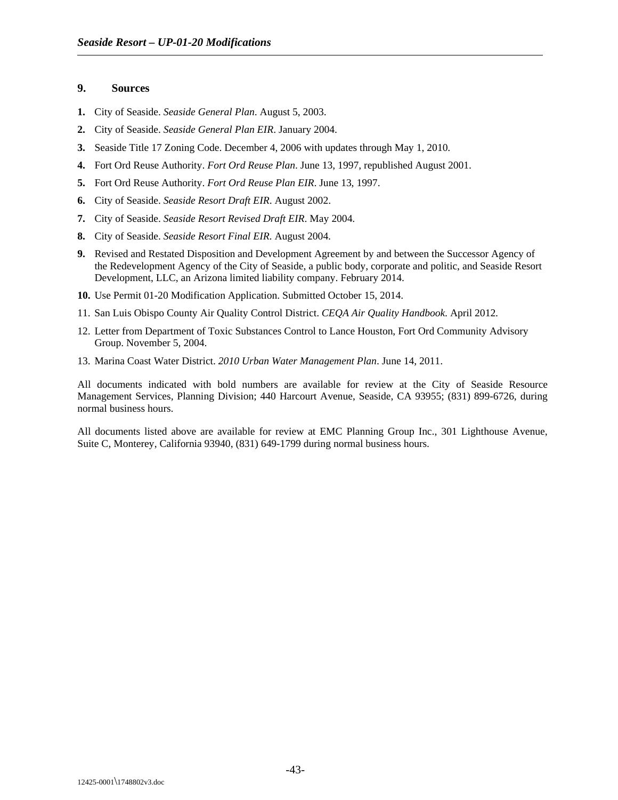#### **9. Sources**

- **1.** City of Seaside. *Seaside General Plan*. August 5, 2003.
- **2.** City of Seaside. *Seaside General Plan EIR*. January 2004.
- **3.** Seaside Title 17 Zoning Code. December 4, 2006 with updates through May 1, 2010.
- **4.** Fort Ord Reuse Authority. *Fort Ord Reuse Plan*. June 13, 1997, republished August 2001.
- **5.** Fort Ord Reuse Authority. *Fort Ord Reuse Plan EIR*. June 13, 1997.
- **6.** City of Seaside. *Seaside Resort Draft EIR*. August 2002.
- **7.** City of Seaside. *Seaside Resort Revised Draft EIR*. May 2004.
- **8.** City of Seaside. *Seaside Resort Final EIR*. August 2004.
- **9.** Revised and Restated Disposition and Development Agreement by and between the Successor Agency of the Redevelopment Agency of the City of Seaside, a public body, corporate and politic, and Seaside Resort Development, LLC, an Arizona limited liability company. February 2014.
- **10.** Use Permit 01-20 Modification Application. Submitted October 15, 2014.
- 11. San Luis Obispo County Air Quality Control District. *CEQA Air Quality Handbook*. April 2012.
- 12. Letter from Department of Toxic Substances Control to Lance Houston, Fort Ord Community Advisory Group. November 5, 2004.
- 13. Marina Coast Water District. *2010 Urban Water Management Plan*. June 14, 2011.

All documents indicated with bold numbers are available for review at the City of Seaside Resource Management Services, Planning Division; 440 Harcourt Avenue, Seaside, CA 93955; (831) 899-6726, during normal business hours.

All documents listed above are available for review at EMC Planning Group Inc., 301 Lighthouse Avenue, Suite C, Monterey, California 93940, (831) 649-1799 during normal business hours.